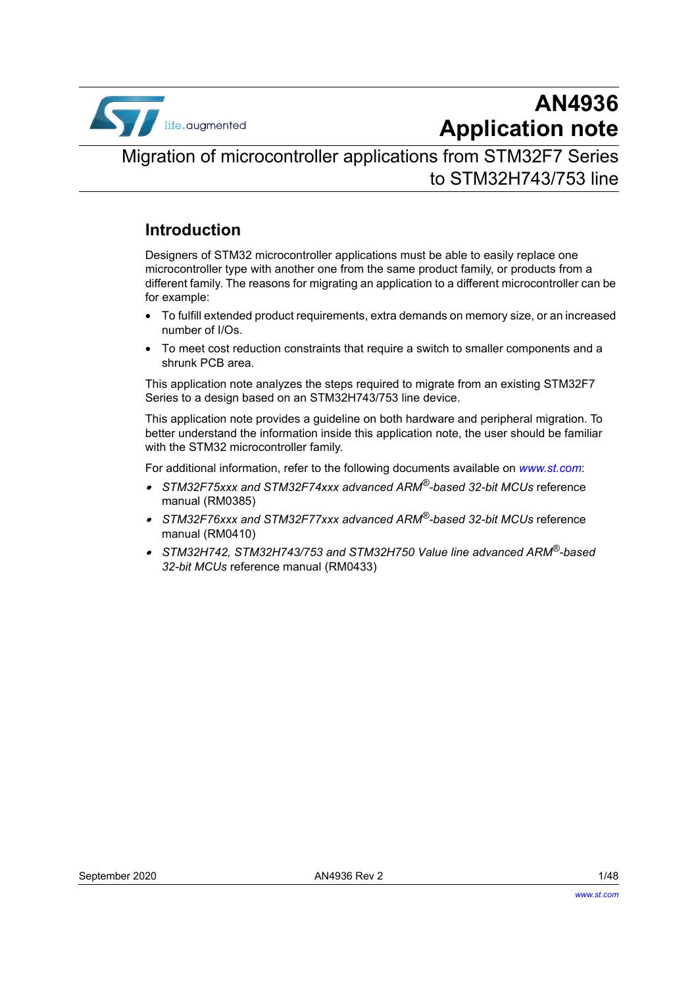

# **AN4936 Application note**

Migration of microcontroller applications from STM32F7 Series to STM32H743/753 line

## **Introduction**

Designers of STM32 microcontroller applications must be able to easily replace one microcontroller type with another one from the same product family, or products from a different family. The reasons for migrating an application to a different microcontroller can be for example:

- To fulfill extended product requirements, extra demands on memory size, or an increased number of I/Os.
- To meet cost reduction constraints that require a switch to smaller components and a shrunk PCB area.

This application note analyzes the steps required to migrate from an existing STM32F7 Series to a design based on an STM32H743/753 line device.

This application note provides a guideline on both hardware and peripheral migration. To better understand the information inside this application note, the user should be familiar with the STM32 microcontroller family.

For additional information, refer to the following documents available on *www.st.com*:

- *STM32F75xxx and STM32F74xxx advanced ARM®-based 32-bit MCUs* reference manual (RM0385)
- *STM32F76xxx and STM32F77xxx advanced ARM®-based 32-bit MCUs* reference manual (RM0410)
- • *STM32H742, STM32H743/753 and STM32H750 Value line advanced ARM®-based 32-bit MCUs* reference manual (RM0433)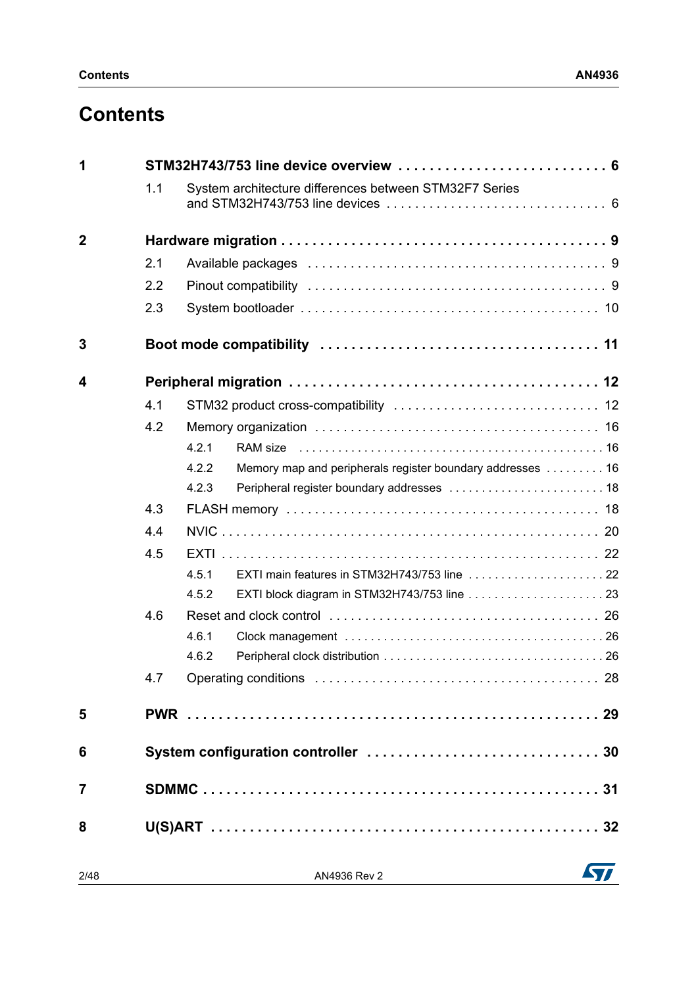# **Contents**

| 1              |     | STM32H743/753 line device overview  6                               |    |  |  |  |  |  |
|----------------|-----|---------------------------------------------------------------------|----|--|--|--|--|--|
|                | 1.1 | System architecture differences between STM32F7 Series              |    |  |  |  |  |  |
| $\mathbf 2$    |     |                                                                     |    |  |  |  |  |  |
|                | 2.1 |                                                                     |    |  |  |  |  |  |
|                | 2.2 |                                                                     |    |  |  |  |  |  |
|                | 2.3 |                                                                     |    |  |  |  |  |  |
| 3              |     |                                                                     |    |  |  |  |  |  |
| 4              |     |                                                                     |    |  |  |  |  |  |
|                | 4.1 |                                                                     |    |  |  |  |  |  |
|                | 4.2 |                                                                     |    |  |  |  |  |  |
|                |     | 4.2.1                                                               |    |  |  |  |  |  |
|                |     | 4.2.2<br>Memory map and peripherals register boundary addresses  16 |    |  |  |  |  |  |
|                |     | 4.2.3                                                               |    |  |  |  |  |  |
|                | 4.3 |                                                                     |    |  |  |  |  |  |
|                | 4.4 |                                                                     |    |  |  |  |  |  |
|                | 4.5 |                                                                     |    |  |  |  |  |  |
|                |     | 4.5.1                                                               |    |  |  |  |  |  |
|                |     | 4.5.2                                                               |    |  |  |  |  |  |
|                | 4.6 |                                                                     |    |  |  |  |  |  |
|                |     | 4.6.1                                                               |    |  |  |  |  |  |
|                |     | 4.6.2                                                               |    |  |  |  |  |  |
|                | 47  | Operating conditions                                                | 28 |  |  |  |  |  |
| 5              |     |                                                                     |    |  |  |  |  |  |
| 6              |     |                                                                     |    |  |  |  |  |  |
| $\overline{7}$ |     |                                                                     |    |  |  |  |  |  |
| 8              |     |                                                                     |    |  |  |  |  |  |
| 2/48           |     | AN4936 Rev 2                                                        | 57 |  |  |  |  |  |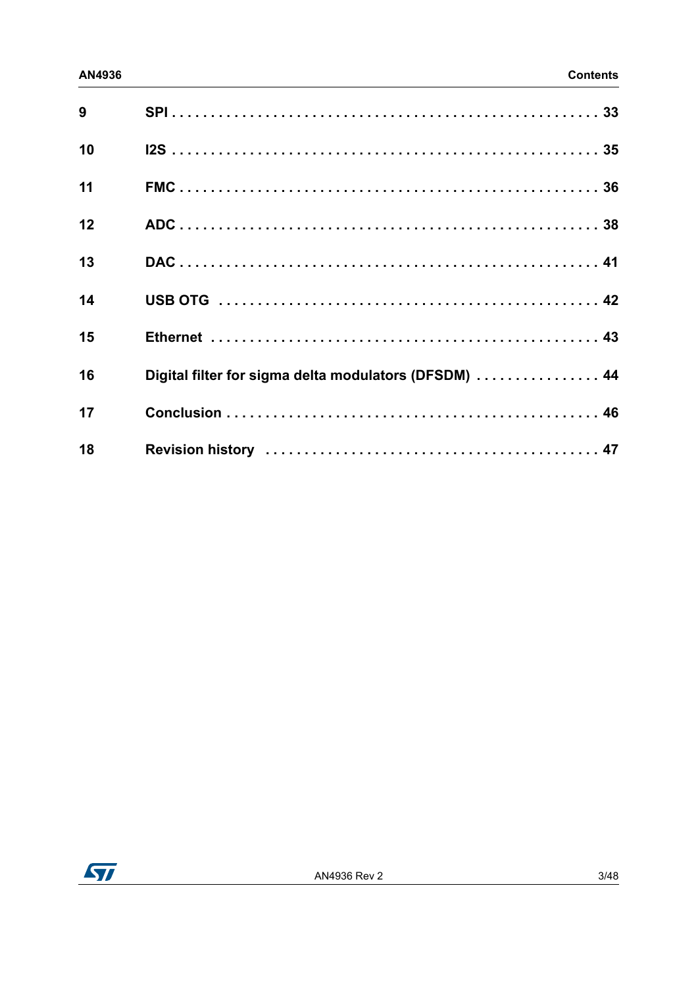| 9  |                                                       |
|----|-------------------------------------------------------|
| 10 |                                                       |
| 11 |                                                       |
| 12 |                                                       |
| 13 |                                                       |
| 14 |                                                       |
| 15 |                                                       |
| 16 | Digital filter for sigma delta modulators (DFSDM)  44 |
| 17 |                                                       |
| 18 |                                                       |

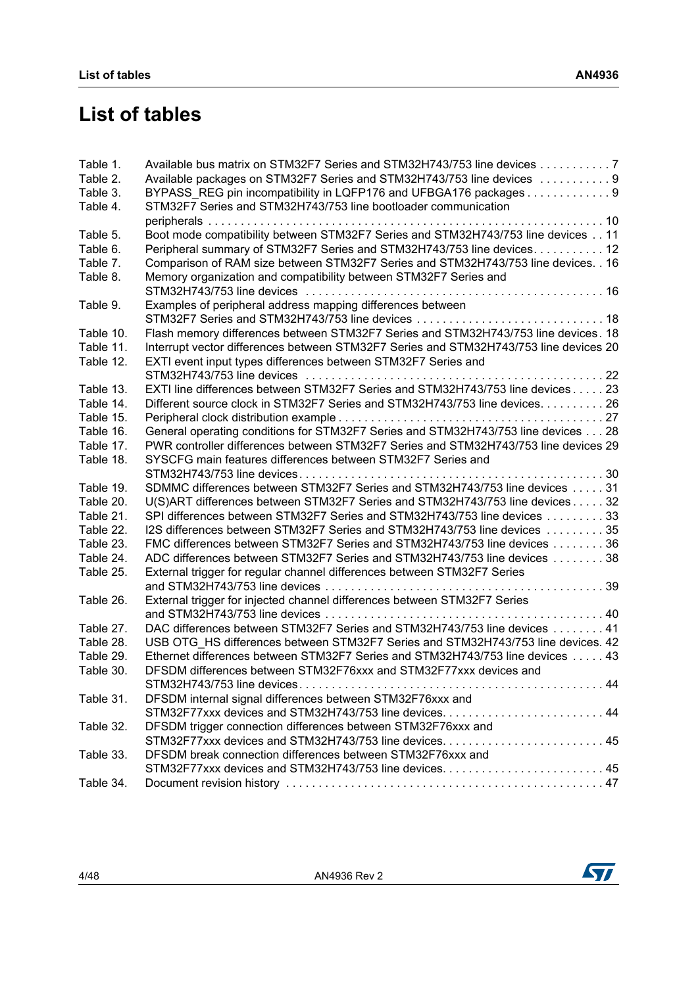# **List of tables**

| Table 1.  | Available bus matrix on STM32F7 Series and STM32H743/753 line devices 7               |
|-----------|---------------------------------------------------------------------------------------|
| Table 2.  | Available packages on STM32F7 Series and STM32H743/753 line devices 9                 |
| Table 3.  | BYPASS_REG pin incompatibility in LQFP176 and UFBGA176 packages 9                     |
| Table 4.  | STM32F7 Series and STM32H743/753 line bootloader communication                        |
|           |                                                                                       |
| Table 5.  | Boot mode compatibility between STM32F7 Series and STM32H743/753 line devices 11      |
| Table 6.  | Peripheral summary of STM32F7 Series and STM32H743/753 line devices. 12               |
| Table 7.  | Comparison of RAM size between STM32F7 Series and STM32H743/753 line devices. . 16    |
| Table 8.  | Memory organization and compatibility between STM32F7 Series and                      |
|           |                                                                                       |
| Table 9.  | Examples of peripheral address mapping differences between                            |
|           |                                                                                       |
| Table 10. | Flash memory differences between STM32F7 Series and STM32H743/753 line devices. 18    |
| Table 11. | Interrupt vector differences between STM32F7 Series and STM32H743/753 line devices 20 |
| Table 12. | EXTI event input types differences between STM32F7 Series and                         |
|           |                                                                                       |
| Table 13. | EXTI line differences between STM32F7 Series and STM32H743/753 line devices 23        |
| Table 14. | Different source clock in STM32F7 Series and STM32H743/753 line devices. 26           |
| Table 15. |                                                                                       |
| Table 16. | General operating conditions for STM32F7 Series and STM32H743/753 line devices 28     |
| Table 17. | PWR controller differences between STM32F7 Series and STM32H743/753 line devices 29   |
| Table 18. | SYSCFG main features differences between STM32F7 Series and                           |
|           |                                                                                       |
| Table 19. | SDMMC differences between STM32F7 Series and STM32H743/753 line devices 31            |
| Table 20. | U(S)ART differences between STM32F7 Series and STM32H743/753 line devices 32          |
| Table 21. | SPI differences between STM32F7 Series and STM32H743/753 line devices 33              |
| Table 22. | 12S differences between STM32F7 Series and STM32H743/753 line devices 35              |
| Table 23. | FMC differences between STM32F7 Series and STM32H743/753 line devices 36              |
| Table 24. | ADC differences between STM32F7 Series and STM32H743/753 line devices 38              |
| Table 25. | External trigger for regular channel differences between STM32F7 Series               |
|           |                                                                                       |
| Table 26. | External trigger for injected channel differences between STM32F7 Series              |
|           |                                                                                       |
| Table 27. | DAC differences between STM32F7 Series and STM32H743/753 line devices  41             |
| Table 28. | USB OTG HS differences between STM32F7 Series and STM32H743/753 line devices. 42      |
| Table 29. | Ethernet differences between STM32F7 Series and STM32H743/753 line devices 43         |
| Table 30. | DFSDM differences between STM32F76xxx and STM32F77xxx devices and                     |
|           |                                                                                       |
| Table 31. | DFSDM internal signal differences between STM32F76xxx and                             |
|           |                                                                                       |
| Table 32. | DFSDM trigger connection differences between STM32F76xxx and                          |
|           |                                                                                       |
| Table 33. | DFSDM break connection differences between STM32F76xxx and                            |
|           |                                                                                       |
| Table 34. |                                                                                       |

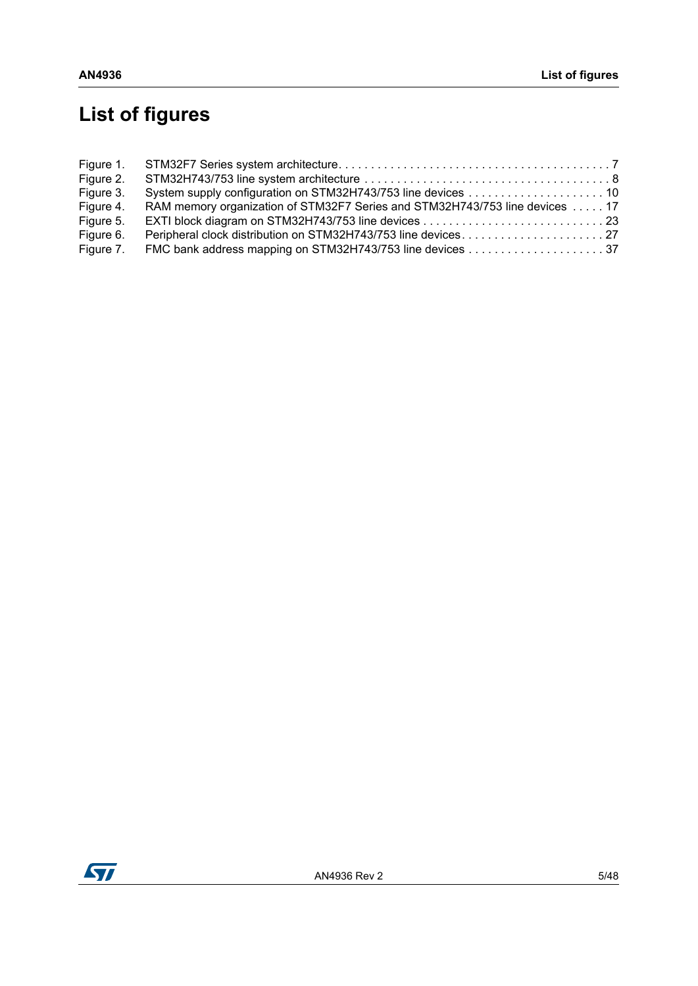# **List of figures**

| Figure 2. |                                                                             |  |
|-----------|-----------------------------------------------------------------------------|--|
| Figure 3. |                                                                             |  |
| Figure 4. | RAM memory organization of STM32F7 Series and STM32H743/753 line devices 17 |  |
| Figure 5. |                                                                             |  |
| Figure 6. |                                                                             |  |
| Figure 7. |                                                                             |  |

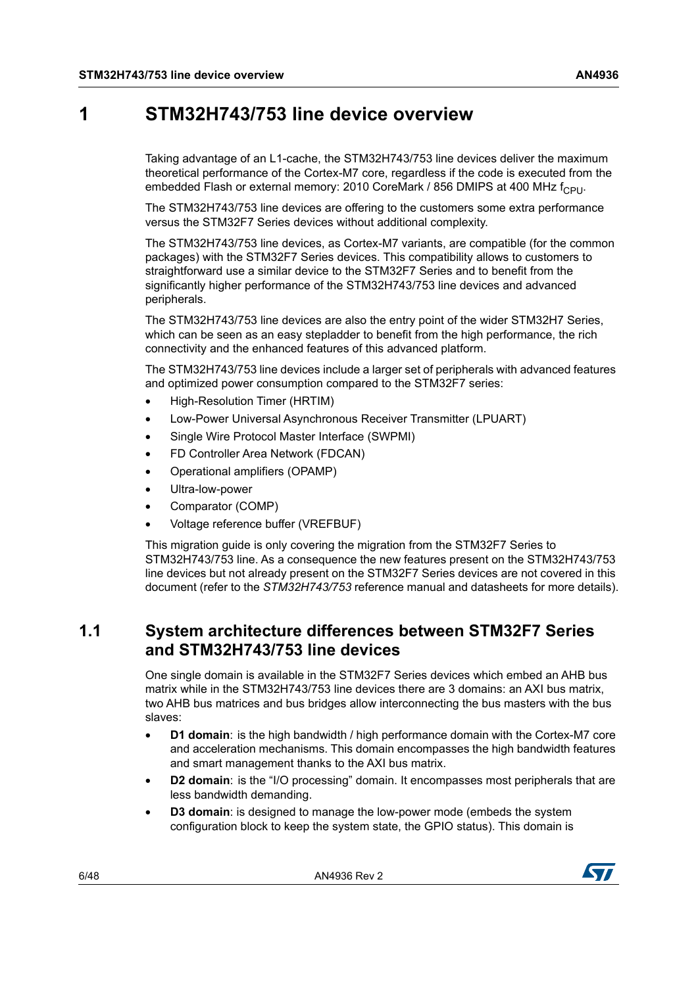## <span id="page-5-0"></span>**1 STM32H743/753 line device overview**

Taking advantage of an L1-cache, the STM32H743/753 line devices deliver the maximum theoretical performance of the Cortex-M7 core, regardless if the code is executed from the embedded Flash or external memory: 2010 CoreMark / 856 DMIPS at 400 MHz  $f_{\text{CPIL}}$ 

The STM32H743/753 line devices are offering to the customers some extra performance versus the STM32F7 Series devices without additional complexity.

The STM32H743/753 line devices, as Cortex-M7 variants, are compatible (for the common packages) with the STM32F7 Series devices. This compatibility allows to customers to straightforward use a similar device to the STM32F7 Series and to benefit from the significantly higher performance of the STM32H743/753 line devices and advanced peripherals.

The STM32H743/753 line devices are also the entry point of the wider STM32H7 Series, which can be seen as an easy stepladder to benefit from the high performance, the rich connectivity and the enhanced features of this advanced platform.

The STM32H743/753 line devices include a larger set of peripherals with advanced features and optimized power consumption compared to the STM32F7 series:

- High-Resolution Timer (HRTIM)
- Low-Power Universal Asynchronous Receiver Transmitter (LPUART)
- Single Wire Protocol Master Interface (SWPMI)
- FD Controller Area Network (FDCAN)
- Operational amplifiers (OPAMP)
- Ultra-low-power
- Comparator (COMP)
- Voltage reference buffer (VREFBUF)

This migration guide is only covering the migration from the STM32F7 Series to STM32H743/753 line. As a consequence the new features present on the STM32H743/753 line devices but not already present on the STM32F7 Series devices are not covered in this document (refer to the *STM32H743/753* reference manual and datasheets for more details).

### <span id="page-5-1"></span>**1.1 System architecture differences between STM32F7 Series and STM32H743/753 line devices**

One single domain is available in the STM32F7 Series devices which embed an AHB bus matrix while in the STM32H743/753 line devices there are 3 domains: an AXI bus matrix, two AHB bus matrices and bus bridges allow interconnecting the bus masters with the bus slaves:

- **D1 domain**: is the high bandwidth / high performance domain with the Cortex-M7 core and acceleration mechanisms. This domain encompasses the high bandwidth features and smart management thanks to the AXI bus matrix.
- **D2 domain**: is the "I/O processing" domain. It encompasses most peripherals that are less bandwidth demanding.
- **D3 domain:** is designed to manage the low-power mode (embeds the system configuration block to keep the system state, the GPIO status). This domain is

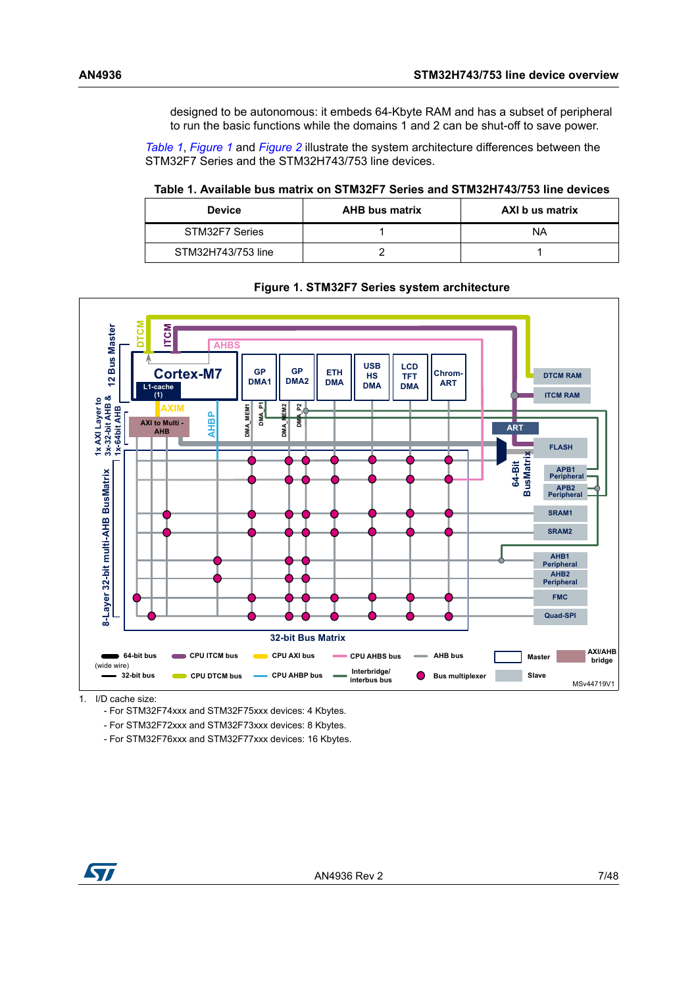designed to be autonomous: it embeds 64-Kbyte RAM and has a subset of peripheral to run the basic functions while the domains 1 and 2 can be shut-off to save power.

*[Table](#page-6-0) 1*, *[Figure](#page-6-1) 1* and *[Figure](#page-7-0) 2* illustrate the system architecture differences between the STM32F7 Series and the STM32H743/753 line devices.

#### <span id="page-6-0"></span>**Table 1. Available bus matrix on STM32F7 Series and STM32H743/753 line devices**

| <b>Device</b>      | <b>AHB bus matrix</b> | AXI b us matrix |
|--------------------|-----------------------|-----------------|
| STM32F7 Series     |                       | ΝA              |
| STM32H743/753 line |                       |                 |

<span id="page-6-1"></span>

#### **Figure 1. STM32F7 Series system architecture**

1. I/D cache size:

- For STM32F74xxx and STM32F75xxx devices: 4 Kbytes.

- For STM32F72xxx and STM32F73xxx devices: 8 Kbytes.

- For STM32F76xxx and STM32F77xxx devices: 16 Kbytes.

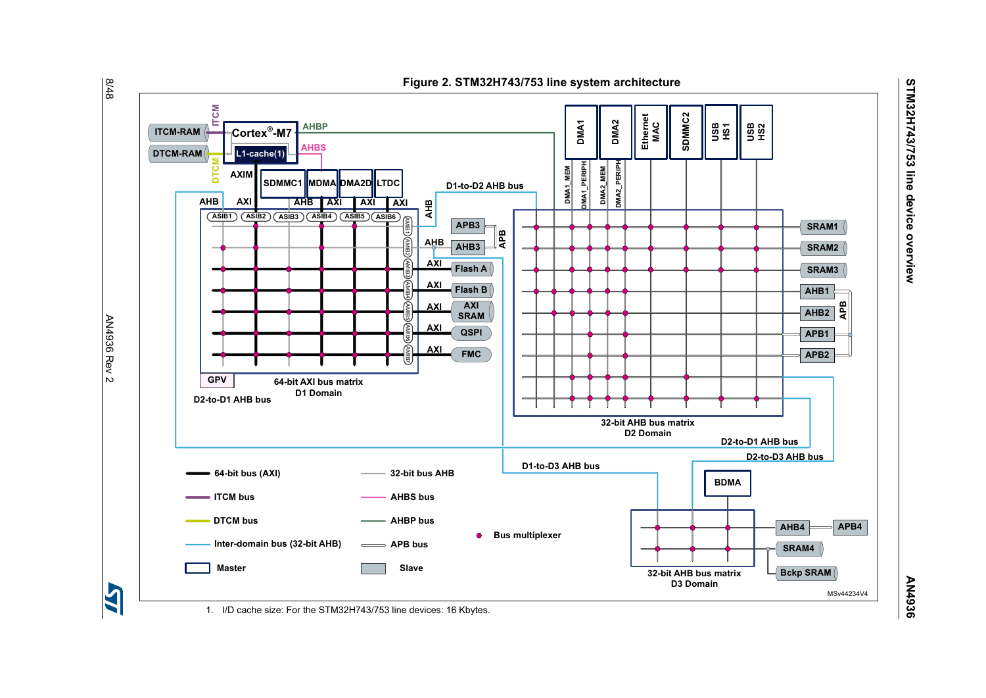<span id="page-7-0"></span>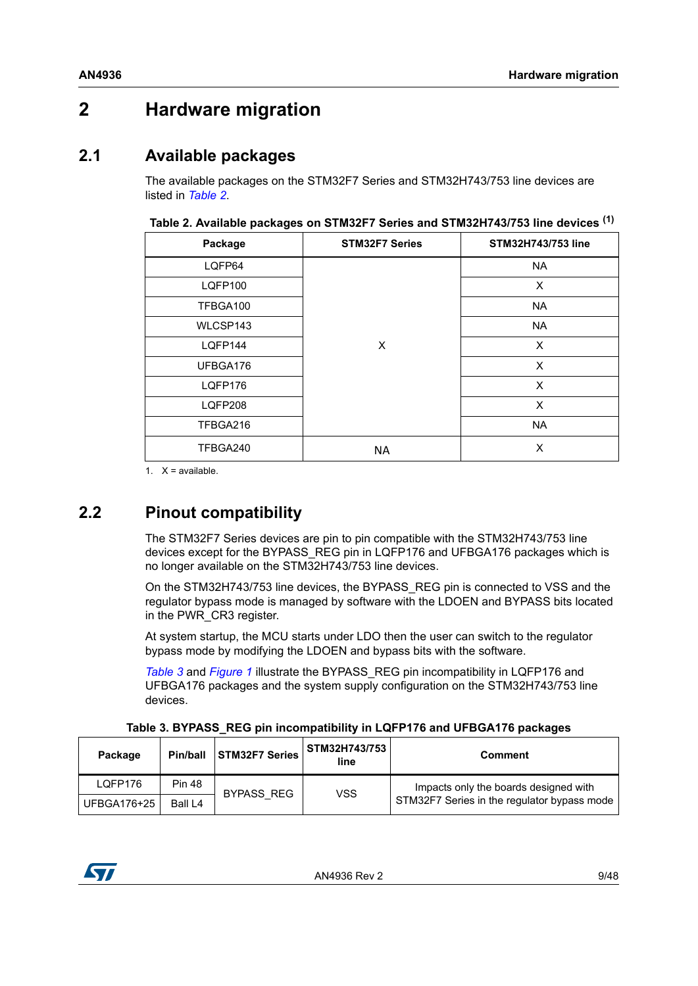## <span id="page-8-0"></span>**2 Hardware migration**

## <span id="page-8-1"></span>**2.1 Available packages**

The available packages on the STM32F7 Series and STM32H743/753 line devices are listed in *[Table](#page-8-3) 2*.

| Package        | <b>STM32F7 Series</b> | <b>STM32H743/753 line</b> |  |  |
|----------------|-----------------------|---------------------------|--|--|
| LQFP64         |                       | <b>NA</b>                 |  |  |
| <b>LQFP100</b> |                       | X                         |  |  |
| TFBGA100       |                       | <b>NA</b>                 |  |  |
| WLCSP143       |                       | <b>NA</b>                 |  |  |
| LQFP144        | X                     | X                         |  |  |
| UFBGA176       |                       | X                         |  |  |
| LQFP176        |                       | X                         |  |  |
| LQFP208        |                       | X                         |  |  |
| TFBGA216       |                       | <b>NA</b>                 |  |  |
| TFBGA240       | <b>NA</b>             | X                         |  |  |

<span id="page-8-3"></span>**Table 2. Available packages on STM32F7 Series and STM32H743/753 line devices (1)**

1.  $X = \text{available}$ .

## <span id="page-8-2"></span>**2.2 Pinout compatibility**

The STM32F7 Series devices are pin to pin compatible with the STM32H743/753 line devices except for the BYPASS\_REG pin in LQFP176 and UFBGA176 packages which is no longer available on the STM32H743/753 line devices.

On the STM32H743/753 line devices, the BYPASS\_REG pin is connected to VSS and the regulator bypass mode is managed by software with the LDOEN and BYPASS bits located in the PWR CR3 register.

At system startup, the MCU starts under LDO then the user can switch to the regulator bypass mode by modifying the LDOEN and bypass bits with the software.

*[Table](#page-8-4) 3* and *[Figure](#page-6-1) 1* illustrate the BYPASS\_REG pin incompatibility in LQFP176 and UFBGA176 packages and the system supply configuration on the STM32H743/753 line devices.

|  | Table 3. BYPASS_REG pin incompatibility in LQFP176 and UFBGA176 packages |  |
|--|--------------------------------------------------------------------------|--|
|  |                                                                          |  |

<span id="page-8-4"></span>

| Package     | Pin/ball      | STM32F7 Series | STM32H743/753<br>line | <b>Comment</b>                              |
|-------------|---------------|----------------|-----------------------|---------------------------------------------|
| LOFP176     | <b>Pin 48</b> | BYPASS REG     | VSS                   | Impacts only the boards designed with       |
| UFBGA176+25 | Ball L4       |                |                       | STM32F7 Series in the regulator bypass mode |

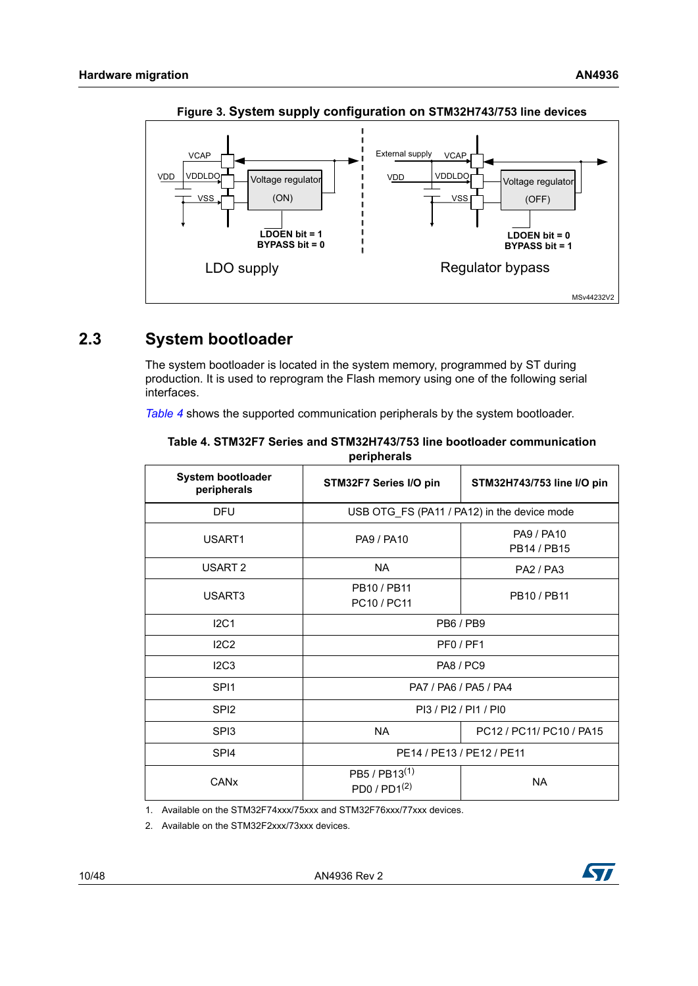<span id="page-9-2"></span>

**Figure 3. System supply configuration on STM32H743/753 line devices**

## <span id="page-9-0"></span>**2.3 System bootloader**

The system bootloader is located in the system memory, programmed by ST during production. It is used to reprogram the Flash memory using one of the following serial interfaces.

*[Table](#page-9-1) 4* shows the supported communication peripherals by the system bootloader.

| <b>System bootloader</b><br>peripherals | STM32F7 Series I/O pin                    | STM32H743/753 line I/O pin                  |  |  |
|-----------------------------------------|-------------------------------------------|---------------------------------------------|--|--|
| <b>DFU</b>                              |                                           | USB OTG_FS (PA11 / PA12) in the device mode |  |  |
| USART1                                  | <b>PA9 / PA10</b>                         | <b>PA9 / PA10</b><br>PB14 / PB15            |  |  |
| USART <sub>2</sub>                      | <b>NA</b>                                 | <b>PA2 / PA3</b>                            |  |  |
| USART3                                  | PB10 / PB11<br>PC10 / PC11                | PB10 / PB11                                 |  |  |
| IC1                                     | <b>PB6/PB9</b>                            |                                             |  |  |
| IC2                                     | PF <sub>0</sub> /PF <sub>1</sub>          |                                             |  |  |
| IC3                                     | <b>PA8 / PC9</b>                          |                                             |  |  |
| SP <sub>11</sub>                        | PA7 / PA6 / PA5 / PA4                     |                                             |  |  |
| SPI <sub>2</sub>                        | PI3 / PI2 / PI1 / PI0                     |                                             |  |  |
| SP <sub>13</sub>                        | <b>NA</b>                                 | PC12 / PC11/ PC10 / PA15                    |  |  |
| SPI <sub>4</sub>                        |                                           | PE14 / PE13 / PE12 / PE11                   |  |  |
| CANx                                    | $PB5$ / $PB13^{(1)}$<br>PD0 / $PD1^{(2)}$ | <b>NA</b>                                   |  |  |

<span id="page-9-1"></span>

| Table 4. STM32F7 Series and STM32H743/753 line bootloader communication |  |             |  |  |  |
|-------------------------------------------------------------------------|--|-------------|--|--|--|
|                                                                         |  | peripherals |  |  |  |

1. Available on the STM32F74xxx/75xxx and STM32F76xxx/77xxx devices.

2. Available on the STM32F2xxx/73xxx devices.

10/48 AN4936 Rev 2

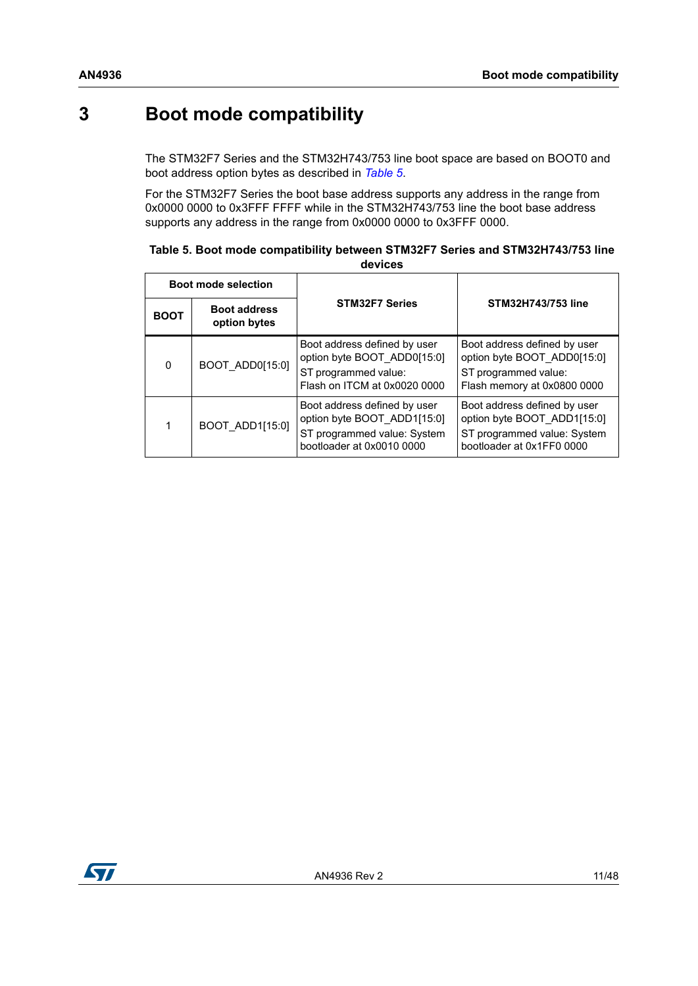## <span id="page-10-0"></span>**3 Boot mode compatibility**

The STM32F7 Series and the STM32H743/753 line boot space are based on BOOT0 and boot address option bytes as described in *[Table](#page-10-1) 5*.

For the STM32F7 Series the boot base address supports any address in the range from 0x0000 0000 to 0x3FFF FFFF while in the STM32H743/753 line the boot base address supports any address in the range from 0x0000 0000 to 0x3FFF 0000.

<span id="page-10-1"></span>

| Table 5. Boot mode compatibility between STM32F7 Series and STM32H743/753 line |
|--------------------------------------------------------------------------------|
| devices                                                                        |

|             | <b>Boot mode selection</b>          |                                                                                                                         |                                                                                                                         |  |
|-------------|-------------------------------------|-------------------------------------------------------------------------------------------------------------------------|-------------------------------------------------------------------------------------------------------------------------|--|
| <b>BOOT</b> | <b>Boot address</b><br>option bytes | <b>STM32F7 Series</b>                                                                                                   | STM32H743/753 line                                                                                                      |  |
| $\Omega$    | BOOT ADD0[15:0]                     | Boot address defined by user<br>option byte BOOT ADD0[15:0]<br>ST programmed value:<br>Flash on ITCM at 0x0020 0000     | Boot address defined by user<br>option byte BOOT_ADD0[15:0]<br>ST programmed value:<br>Flash memory at 0x0800 0000      |  |
|             | BOOT ADD1[15:0]                     | Boot address defined by user<br>option byte BOOT ADD1[15:0]<br>ST programmed value: System<br>bootloader at 0x0010 0000 | Boot address defined by user<br>option byte BOOT ADD1[15:0]<br>ST programmed value: System<br>bootloader at 0x1FF0 0000 |  |

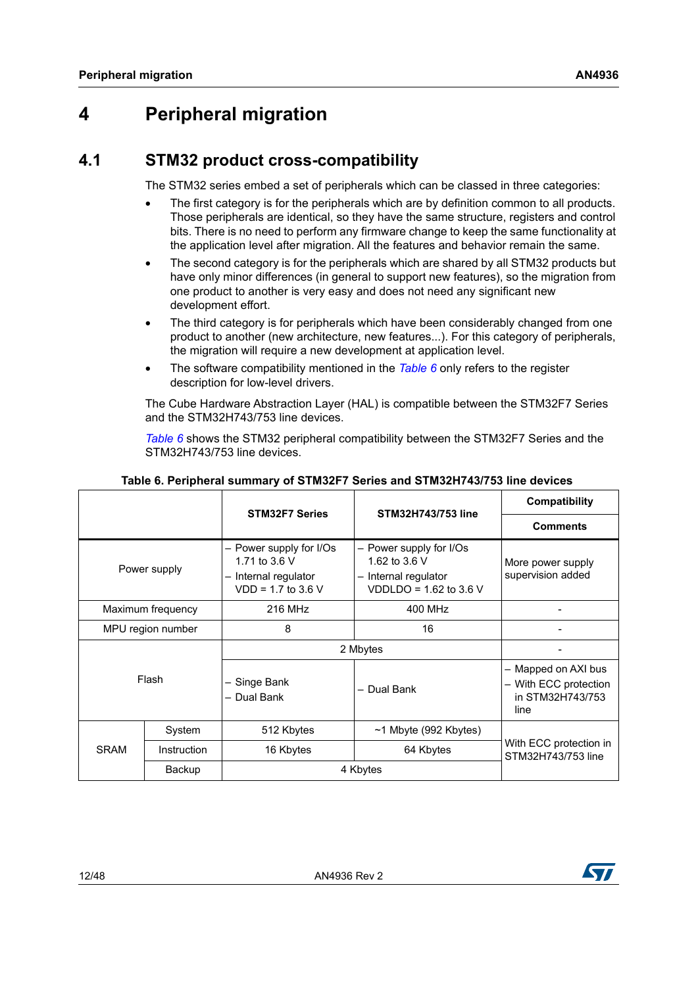## <span id="page-11-0"></span>**4 Peripheral migration**

## <span id="page-11-1"></span>**4.1 STM32 product cross-compatibility**

The STM32 series embed a set of peripherals which can be classed in three categories:

- The first category is for the peripherals which are by definition common to all products. Those peripherals are identical, so they have the same structure, registers and control bits. There is no need to perform any firmware change to keep the same functionality at the application level after migration. All the features and behavior remain the same.
- The second category is for the peripherals which are shared by all STM32 products but have only minor differences (in general to support new features), so the migration from one product to another is very easy and does not need any significant new development effort.
- The third category is for peripherals which have been considerably changed from one product to another (new architecture, new features...). For this category of peripherals, the migration will require a new development at application level.
- The software compatibility mentioned in the *[Table 6](#page-11-2)* only refers to the register description for low-level drivers.

The Cube Hardware Abstraction Layer (HAL) is compatible between the STM32F7 Series and the STM32H743/753 line devices.

*[Table](#page-11-2) 6* shows the STM32 peripheral compatibility between the STM32F7 Series and the STM32H743/753 line devices.

<span id="page-11-2"></span>

|                   |             | <b>STM32F7 Series</b>                                                                    | STM32H743/753 line                                                                             | Compatibility                                                            |
|-------------------|-------------|------------------------------------------------------------------------------------------|------------------------------------------------------------------------------------------------|--------------------------------------------------------------------------|
|                   |             |                                                                                          |                                                                                                | <b>Comments</b>                                                          |
| Power supply      |             | - Power supply for I/Os<br>1.71 to 3.6 V<br>- Internal regulator<br>$VDD = 1.7$ to 3.6 V | - Power supply for I/Os<br>1.62 to 3.6 V<br>- Internal regulator<br>VDDLDO = $1.62$ to $3.6$ V | More power supply<br>supervision added                                   |
| Maximum frequency |             | 216 MHz                                                                                  | 400 MHz                                                                                        |                                                                          |
| MPU region number |             | 8                                                                                        | 16                                                                                             |                                                                          |
|                   |             | 2 Mbytes                                                                                 |                                                                                                |                                                                          |
| Flash             |             | - Singe Bank<br>- Dual Bank                                                              | - Dual Bank                                                                                    | - Mapped on AXI bus<br>- With ECC protection<br>in STM32H743/753<br>line |
|                   | System      | 512 Kbytes                                                                               | $~1$ Mbyte (992 Kbytes)                                                                        |                                                                          |
| <b>SRAM</b>       | Instruction | 16 Kbytes                                                                                | 64 Kbytes                                                                                      | With ECC protection in<br>STM32H743/753 line                             |
|                   | Backup      |                                                                                          | 4 Kbytes                                                                                       |                                                                          |

#### **Table 6. Peripheral summary of STM32F7 Series and STM32H743/753 line devices**

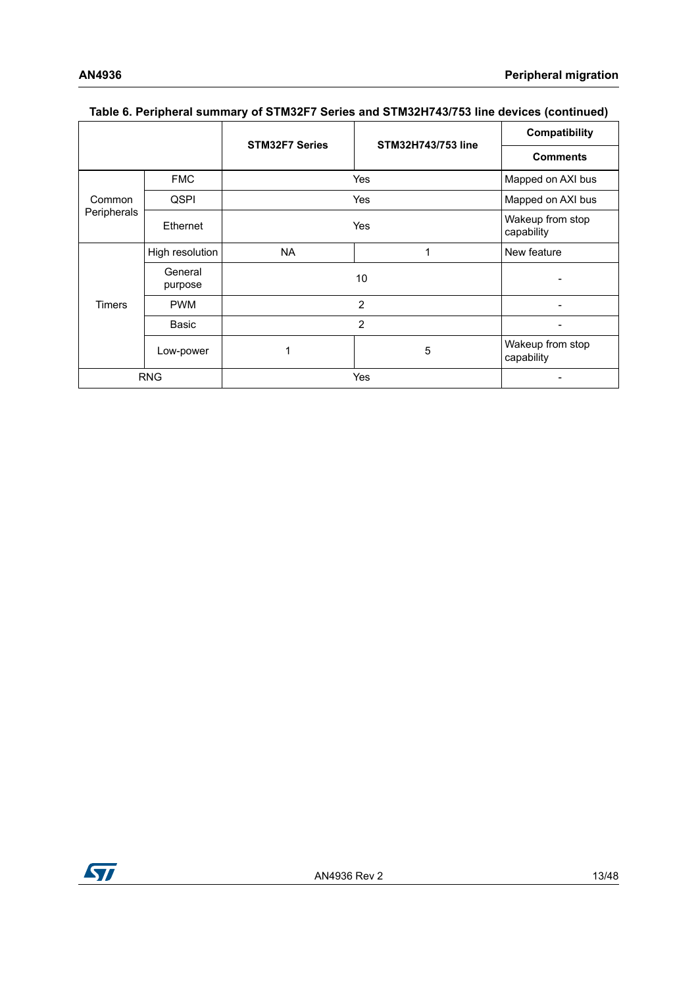|               |                    | <b>STM32F7 Series</b> | <b>STM32H743/753 line</b> | Compatibility                  |
|---------------|--------------------|-----------------------|---------------------------|--------------------------------|
|               |                    |                       |                           | <b>Comments</b>                |
|               | <b>FMC</b>         |                       | Yes<br>Mapped on AXI bus  |                                |
| Common        | <b>QSPI</b>        |                       | Mapped on AXI bus<br>Yes  |                                |
| Peripherals   | Ethernet           | Yes                   |                           | Wakeup from stop<br>capability |
|               | High resolution    | <b>NA</b>             | 1                         | New feature                    |
|               | General<br>purpose | 10                    |                           |                                |
| <b>Timers</b> | <b>PWM</b>         | $\overline{2}$        |                           |                                |
|               | Basic              | $\overline{2}$        |                           |                                |
|               | Low-power          |                       | 5                         | Wakeup from stop<br>capability |
| <b>RNG</b>    |                    | Yes                   |                           |                                |

#### **Table 6. Peripheral summary of STM32F7 Series and STM32H743/753 line devices (continued)**

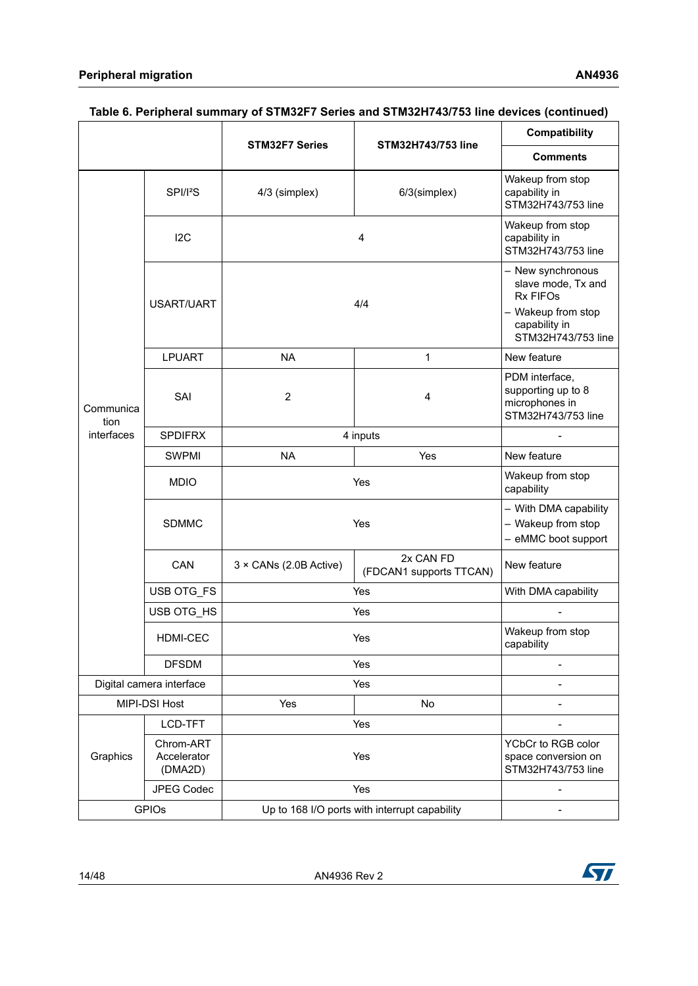|                          |                                     | <b>STM32F7 Series</b><br>STM32H743/753 line   |                                      | Compatibility                                                                                                           |
|--------------------------|-------------------------------------|-----------------------------------------------|--------------------------------------|-------------------------------------------------------------------------------------------------------------------------|
|                          |                                     |                                               |                                      | <b>Comments</b>                                                                                                         |
|                          | SPI/I <sup>2</sup> S                | 4/3 (simplex)                                 | 6/3(simplex)                         | Wakeup from stop<br>capability in<br>STM32H743/753 line                                                                 |
|                          | 12C                                 | 4                                             |                                      | Wakeup from stop<br>capability in<br>STM32H743/753 line                                                                 |
|                          | USART/UART                          | 4/4                                           |                                      | - New synchronous<br>slave mode, Tx and<br><b>Rx FIFOs</b><br>- Wakeup from stop<br>capability in<br>STM32H743/753 line |
|                          | <b>LPUART</b>                       | <b>NA</b>                                     | $\mathbf{1}$                         | New feature                                                                                                             |
| Communica<br>tion        | SAI                                 | $\overline{2}$                                | 4                                    | PDM interface,<br>supporting up to 8<br>microphones in<br>STM32H743/753 line                                            |
| interfaces               | <b>SPDIFRX</b>                      | 4 inputs                                      |                                      |                                                                                                                         |
|                          | <b>SWPMI</b>                        | <b>NA</b><br>Yes                              |                                      | New feature                                                                                                             |
|                          | <b>MDIO</b>                         | Yes                                           |                                      | Wakeup from stop<br>capability                                                                                          |
|                          | <b>SDMMC</b>                        | Yes                                           |                                      | - With DMA capability<br>- Wakeup from stop<br>- eMMC boot support                                                      |
|                          | CAN                                 | $3 \times$ CANs (2.0B Active)                 | 2x CAN FD<br>(FDCAN1 supports TTCAN) | New feature                                                                                                             |
|                          | USB OTG_FS                          | Yes                                           |                                      | With DMA capability                                                                                                     |
|                          | USB OTG_HS                          | Yes                                           |                                      |                                                                                                                         |
|                          | <b>HDMI-CEC</b>                     | Yes                                           |                                      | Wakeup from stop<br>capability                                                                                          |
|                          | <b>DFSDM</b>                        | Yes                                           |                                      |                                                                                                                         |
| Digital camera interface |                                     | Yes                                           |                                      | ÷                                                                                                                       |
| MIPI-DSI Host            |                                     | Yes                                           | No                                   |                                                                                                                         |
|                          | LCD-TFT                             |                                               | Yes                                  | L,                                                                                                                      |
| Graphics                 | Chrom-ART<br>Accelerator<br>(DMA2D) | Yes                                           |                                      | YCbCr to RGB color<br>space conversion on<br>STM32H743/753 line                                                         |
|                          | <b>JPEG Codec</b>                   |                                               | Yes                                  |                                                                                                                         |
| <b>GPIOs</b>             |                                     | Up to 168 I/O ports with interrupt capability |                                      | L,                                                                                                                      |

### **Table 6. Peripheral summary of STM32F7 Series and STM32H743/753 line devices (continued)**

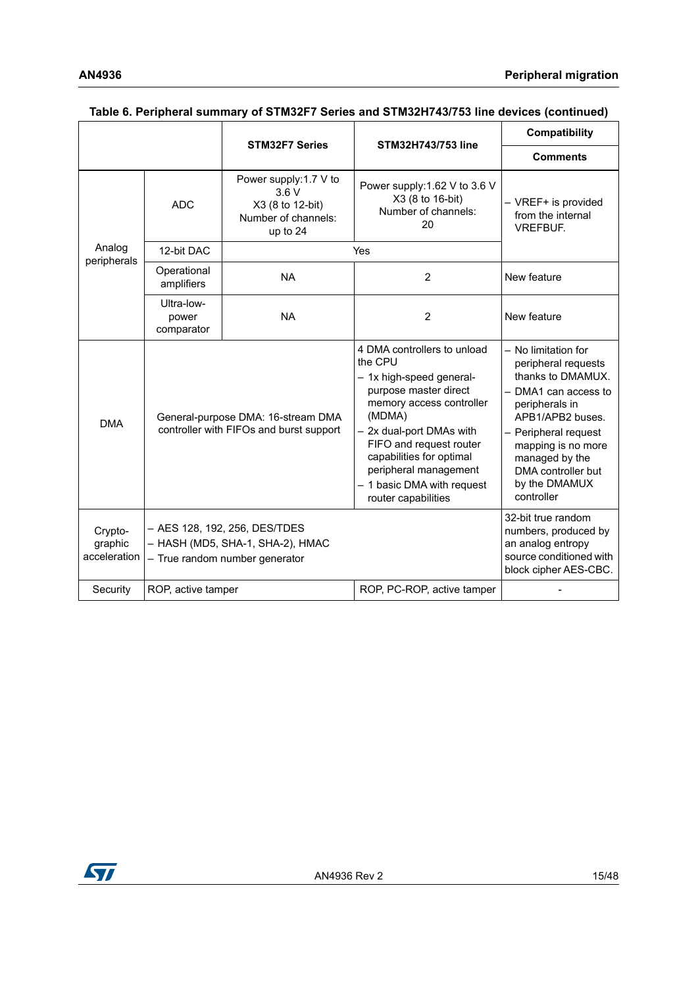|                                    |                                                                               | <b>STM32F7 Series</b>                                                                               | STM32H743/753 line                                                                                                                                                                                                                                                                                 | Compatibility                                                                                                                                                                                                                                      |
|------------------------------------|-------------------------------------------------------------------------------|-----------------------------------------------------------------------------------------------------|----------------------------------------------------------------------------------------------------------------------------------------------------------------------------------------------------------------------------------------------------------------------------------------------------|----------------------------------------------------------------------------------------------------------------------------------------------------------------------------------------------------------------------------------------------------|
|                                    |                                                                               |                                                                                                     |                                                                                                                                                                                                                                                                                                    | <b>Comments</b>                                                                                                                                                                                                                                    |
|                                    | <b>ADC</b>                                                                    | Power supply:1.7 V to<br>3.6V<br>X3 (8 to 12-bit)<br>Number of channels:<br>up to 24                | Power supply:1.62 V to 3.6 V<br>X3 (8 to 16-bit)<br>Number of channels:<br>20                                                                                                                                                                                                                      | - VREF+ is provided<br>from the internal<br><b>VREFBUF.</b>                                                                                                                                                                                        |
| Analog                             | 12-bit DAC                                                                    |                                                                                                     | Yes                                                                                                                                                                                                                                                                                                |                                                                                                                                                                                                                                                    |
| peripherals                        | Operational<br>amplifiers                                                     | <b>NA</b>                                                                                           | $\overline{2}$                                                                                                                                                                                                                                                                                     | New feature                                                                                                                                                                                                                                        |
|                                    | Ultra-low-<br>power<br>comparator                                             | <b>NA</b>                                                                                           | $\overline{2}$                                                                                                                                                                                                                                                                                     | New feature                                                                                                                                                                                                                                        |
| <b>DMA</b>                         | General-purpose DMA: 16-stream DMA<br>controller with FIFOs and burst support |                                                                                                     | 4 DMA controllers to unload<br>the CPU<br>- 1x high-speed general-<br>purpose master direct<br>memory access controller<br>(MDMA)<br>- 2x dual-port DMAs with<br>FIFO and request router<br>capabilities for optimal<br>peripheral management<br>- 1 basic DMA with request<br>router capabilities | - No limitation for<br>peripheral requests<br>thanks to DMAMUX.<br>- DMA1 can access to<br>peripherals in<br>APB1/APB2 buses.<br>- Peripheral request<br>mapping is no more<br>managed by the<br>DMA controller but<br>by the DMAMUX<br>controller |
| Crypto-<br>graphic<br>acceleration |                                                                               | - AES 128, 192, 256, DES/TDES<br>- HASH (MD5, SHA-1, SHA-2), HMAC<br>- True random number generator |                                                                                                                                                                                                                                                                                                    | 32-bit true random<br>numbers, produced by<br>an analog entropy<br>source conditioned with<br>block cipher AES-CBC.                                                                                                                                |
| Security                           | ROP, active tamper                                                            |                                                                                                     | ROP, PC-ROP, active tamper                                                                                                                                                                                                                                                                         |                                                                                                                                                                                                                                                    |

#### **Table 6. Peripheral summary of STM32F7 Series and STM32H743/753 line devices (continued)**

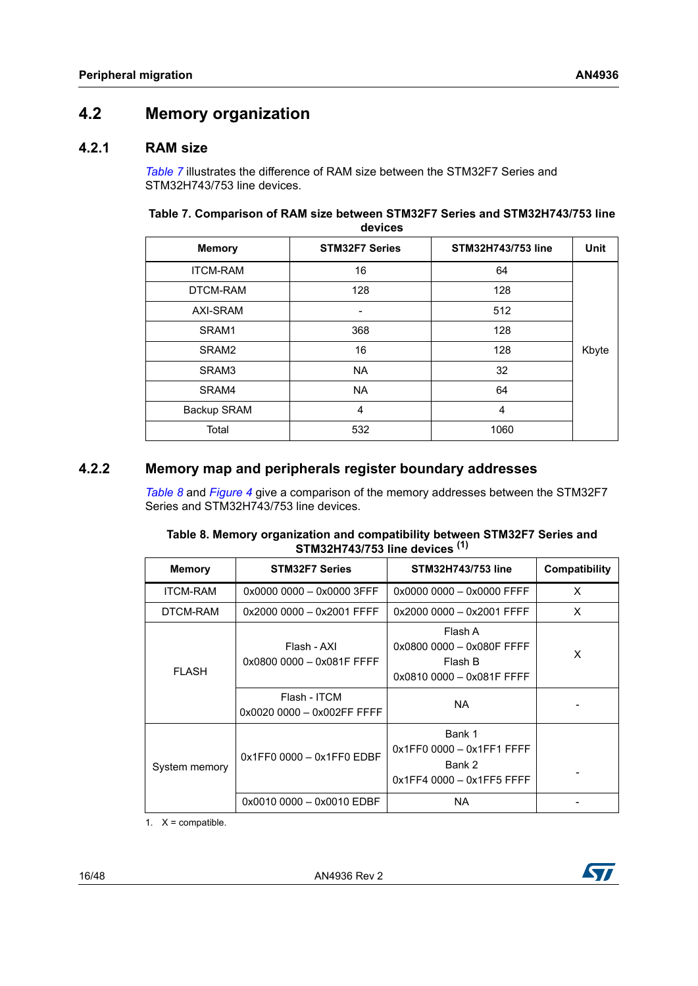## <span id="page-15-0"></span>**4.2 Memory organization**

### <span id="page-15-1"></span>**4.2.1 RAM size**

*[Table](#page-15-3) 7* illustrates the difference of RAM size between the STM32F7 Series and STM32H743/753 line devices.

<span id="page-15-3"></span>

| Table 7. Comparison of RAM size between STM32F7 Series and STM32H743/753 line |
|-------------------------------------------------------------------------------|
| devices                                                                       |

| <b>Memory</b>   | <b>STM32F7 Series</b> | STM32H743/753 line | <b>Unit</b> |
|-----------------|-----------------------|--------------------|-------------|
| <b>ITCM-RAM</b> | 16                    | 64                 |             |
| DTCM-RAM        | 128                   | 128                |             |
| AXI-SRAM        |                       | 512                |             |
| SRAM1           | 368                   | 128                |             |
| SRAM2           | 16                    | 128                | Kbyte       |
| SRAM3           | <b>NA</b>             | 32                 |             |
| SRAM4           | <b>NA</b>             | 64                 |             |
| Backup SRAM     | 4                     | 4                  |             |
| Total           | 532                   | 1060               |             |

### <span id="page-15-2"></span>**4.2.2 Memory map and peripherals register boundary addresses**

*[Table](#page-15-4) 8* and *[Figure](#page-16-0) 4* give a comparison of the memory addresses between the STM32F7 Series and STM32H743/753 line devices.

<span id="page-15-4"></span>

| Table 8. Memory organization and compatibility between STM32F7 Series and |
|---------------------------------------------------------------------------|
| STM32H743/753 line devices <sup>(1)</sup>                                 |

| <b>Memory</b>   | <b>STM32F7 Series</b>                      | STM32H743/753 line                                                           | Compatibility |
|-----------------|--------------------------------------------|------------------------------------------------------------------------------|---------------|
| <b>ITCM-RAM</b> | 0x0000 0000 - 0x0000 3FFF                  | 0x0000 0000 - 0x0000 FFFF                                                    | X             |
| DTCM-RAM        | 0x2000 0000 - 0x2001 FFFF                  | 0x2000 0000 - 0x2001 FFFF                                                    | X             |
| <b>FI ASH</b>   | Flash - AXI<br>0x0800 0000 - 0x081F FFFF   | Flash A<br>0x0800 0000 - 0x080F FFFF<br>Flash B<br>0x0810 0000 - 0x081F FFFF | X             |
|                 | Flash - ITCM<br>0x0020 0000 - 0x002FF FFFF | NA.                                                                          |               |
| System memory   | $0x1FF00000 - 0x1FF0EDBF$                  | Bank 1<br>0x1FF0 0000 - 0x1FF1 FFFF<br>Bank 2<br>$0x1FF40000 - 0x1FF5FFF$    |               |
|                 | $0x0010000 - 0x0010EDBF$                   | <b>NA</b>                                                                    |               |

1.  $X =$  compatible.



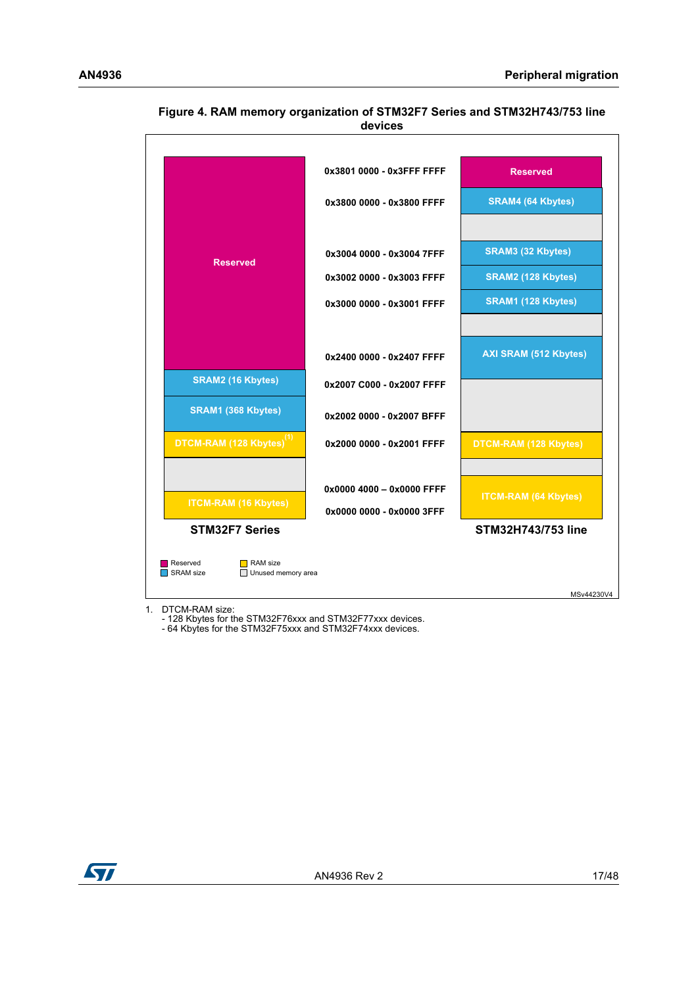

<span id="page-16-0"></span>**Figure 4. RAM memory organization of STM32F7 Series and STM32H743/753 line devices**

1. DTCM-RAM size:

- 128 Kbytes for the STM32F76xxx and STM32F77xxx devices.

- 64 Kbytes for the STM32F75xxx and STM32F74xxx devices.

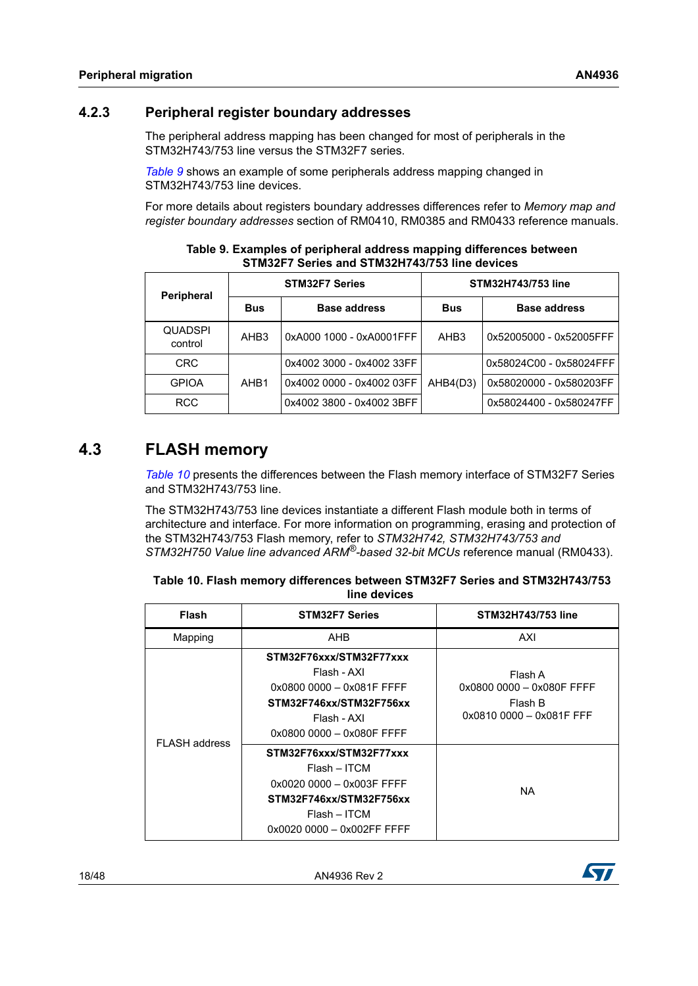### <span id="page-17-0"></span>**4.2.3 Peripheral register boundary addresses**

The peripheral address mapping has been changed for most of peripherals in the STM32H743/753 line versus the STM32F7 series.

*[Table](#page-17-2) 9* shows an example of some peripherals address mapping changed in STM32H743/753 line devices.

For more details about registers boundary addresses differences refer to *Memory map and register boundary addresses* section of RM0410, RM0385 and RM0433 reference manuals.

<span id="page-17-2"></span>

|                           |                  | <b>STM32F7 Series</b>     |                  | STM32H743/753 line      |  |
|---------------------------|------------------|---------------------------|------------------|-------------------------|--|
| <b>Peripheral</b>         | <b>Bus</b>       | <b>Base address</b>       | <b>Bus</b>       | <b>Base address</b>     |  |
| <b>QUADSPI</b><br>control | AHB <sub>3</sub> | 0xA000 1000 - 0xA0001FFF  | AHB <sub>3</sub> | 0x52005000 - 0x52005FFF |  |
| <b>CRC</b>                |                  | 0x4002 3000 - 0x4002 33FF |                  | 0x58024C00 - 0x58024FFF |  |
| <b>GPIOA</b>              | AHB <sub>1</sub> | 0x4002 0000 - 0x4002 03FF | AHB4(D3)         | 0x58020000 - 0x580203FF |  |
| <b>RCC</b>                |                  | 0x4002 3800 - 0x4002 3BFF |                  | 0x58024400 - 0x580247FF |  |

**Table 9. Examples of peripheral address mapping differences between STM32F7 Series and STM32H743/753 line devices** 

## <span id="page-17-1"></span>**4.3 FLASH memory**

*[Table](#page-17-3) 10* presents the differences between the Flash memory interface of STM32F7 Series and STM32H743/753 line.

The STM32H743/753 line devices instantiate a different Flash module both in terms of architecture and interface. For more information on programming, erasing and protection of the STM32H743/753 Flash memory, refer to *STM32H742, STM32H743/753 and STM32H750 Value line advanced ARM®-based 32-bit MCUs* reference manual (RM0433).

<span id="page-17-3"></span>

| Table 10. Flash memory differences between STM32F7 Series and STM32H743/753 |
|-----------------------------------------------------------------------------|
| line devices                                                                |

| <b>Flash</b>         | <b>STM32F7 Series</b>                                                                                                                           | <b>STM32H743/753 line</b>                                                   |
|----------------------|-------------------------------------------------------------------------------------------------------------------------------------------------|-----------------------------------------------------------------------------|
| Mapping              | AHB                                                                                                                                             | AXI                                                                         |
|                      | STM32F76xxx/STM32F77xxx<br>Flash - AXI<br>0x0800 0000 - 0x081F FFFF<br>STM32F746xx/STM32F756xx<br>Flash - AXI<br>0x0800 0000 - 0x080F FFFF      | Flash A<br>0x0800 0000 - 0x080F FFFF<br>Flash B<br>0x0810 0000 - 0x081F FFF |
| <b>FLASH</b> address | STM32F76xxx/STM32F77xxx<br>$Flash - ITCM$<br>0x0020 0000 - 0x003F FFFF<br>STM32F746xx/STM32F756xx<br>Flash – ITCM<br>0x0020 0000 - 0x002FF FFFF | <b>NA</b>                                                                   |



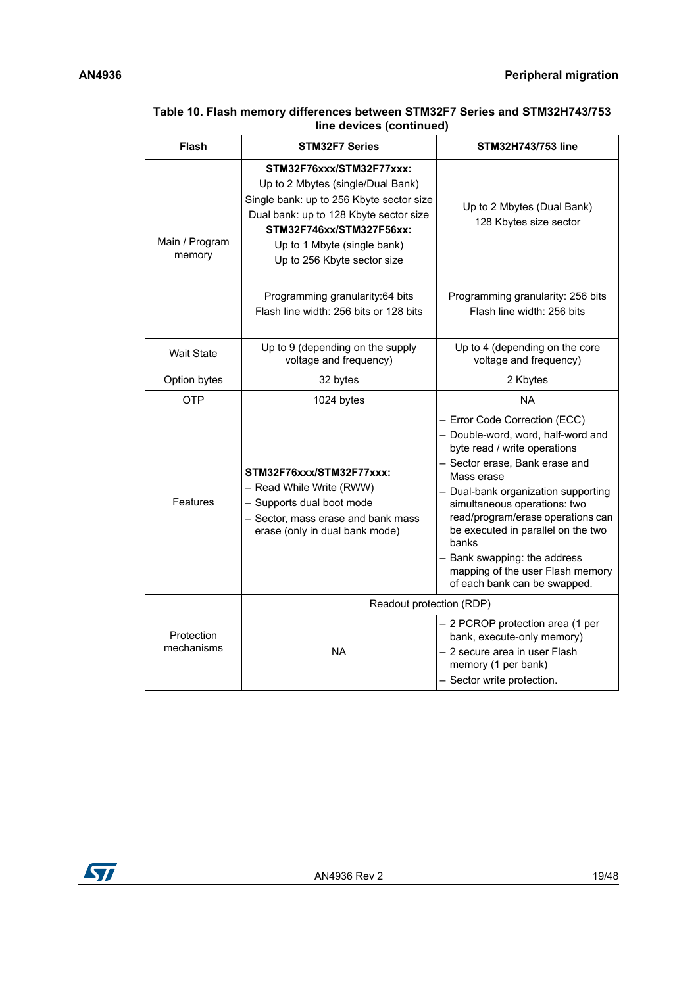| <b>Flash</b>             | <b>STM32F7 Series</b>                                                                                                                                                                                                                         | STM32H743/753 line                                                                                                                                                                                                                                                                                                                                                                                                 |
|--------------------------|-----------------------------------------------------------------------------------------------------------------------------------------------------------------------------------------------------------------------------------------------|--------------------------------------------------------------------------------------------------------------------------------------------------------------------------------------------------------------------------------------------------------------------------------------------------------------------------------------------------------------------------------------------------------------------|
| Main / Program<br>memory | STM32F76xxx/STM32F77xxx:<br>Up to 2 Mbytes (single/Dual Bank)<br>Single bank: up to 256 Kbyte sector size<br>Dual bank: up to 128 Kbyte sector size<br>STM32F746xx/STM327F56xx:<br>Up to 1 Mbyte (single bank)<br>Up to 256 Kbyte sector size | Up to 2 Mbytes (Dual Bank)<br>128 Kbytes size sector                                                                                                                                                                                                                                                                                                                                                               |
|                          | Programming granularity:64 bits<br>Flash line width: 256 bits or 128 bits                                                                                                                                                                     | Programming granularity: 256 bits<br>Flash line width: 256 bits                                                                                                                                                                                                                                                                                                                                                    |
| <b>Wait State</b>        | Up to 9 (depending on the supply<br>voltage and frequency)                                                                                                                                                                                    | Up to 4 (depending on the core<br>voltage and frequency)                                                                                                                                                                                                                                                                                                                                                           |
| Option bytes             | 32 bytes                                                                                                                                                                                                                                      | 2 Kbytes                                                                                                                                                                                                                                                                                                                                                                                                           |
| <b>OTP</b>               | 1024 bytes                                                                                                                                                                                                                                    | <b>NA</b>                                                                                                                                                                                                                                                                                                                                                                                                          |
| Features                 | STM32F76xxx/STM32F77xxx:<br>- Read While Write (RWW)<br>- Supports dual boot mode<br>- Sector, mass erase and bank mass<br>erase (only in dual bank mode)                                                                                     | - Error Code Correction (ECC)<br>- Double-word, word, half-word and<br>byte read / write operations<br>- Sector erase, Bank erase and<br>Mass erase<br>- Dual-bank organization supporting<br>simultaneous operations: two<br>read/program/erase operations can<br>be executed in parallel on the two<br>banks<br>- Bank swapping: the address<br>mapping of the user Flash memory<br>of each bank can be swapped. |
|                          | Readout protection (RDP)                                                                                                                                                                                                                      |                                                                                                                                                                                                                                                                                                                                                                                                                    |
| Protection<br>mechanisms | <b>NA</b>                                                                                                                                                                                                                                     | - 2 PCROP protection area (1 per<br>bank, execute-only memory)<br>- 2 secure area in user Flash<br>memory (1 per bank)<br>- Sector write protection.                                                                                                                                                                                                                                                               |

#### **Table 10. Flash memory differences between STM32F7 Series and STM32H743/753 line devices (continued)**

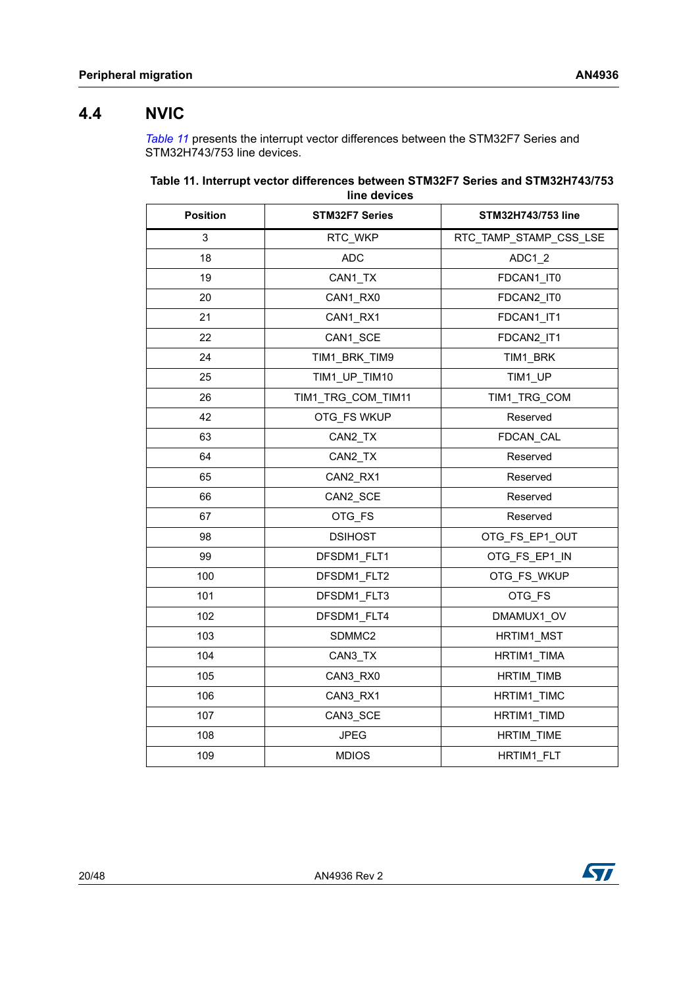### <span id="page-19-0"></span>**4.4 NVIC**

*[Table](#page-19-1) 11* presents the interrupt vector differences between the STM32F7 Series and STM32H743/753 line devices.

<span id="page-19-1"></span>

| Table 11. Interrupt vector differences between STM32F7 Series and STM32H743/753 |  |  |  |  |  |
|---------------------------------------------------------------------------------|--|--|--|--|--|
| line devices                                                                    |  |  |  |  |  |

| <b>Position</b> | <b>STM32F7 Series</b> | STM32H743/753 line     |
|-----------------|-----------------------|------------------------|
| 3               | RTC_WKP               | RTC_TAMP_STAMP_CSS_LSE |
| 18              | <b>ADC</b>            | ADC1 2                 |
| 19              | CAN1 TX               | FDCAN1 IT0             |
| 20              | CAN1 RX0              | FDCAN2 IT0             |
| 21              | CAN1 RX1              | FDCAN1 IT1             |
| 22              | CAN1 SCE              | FDCAN2 IT1             |
| 24              | TIM1 BRK TIM9         | TIM1 BRK               |
| 25              | TIM1 UP TIM10         | TIM1 UP                |
| 26              | TIM1_TRG_COM_TIM11    | TIM1 TRG COM           |
| 42              | OTG FS WKUP           | Reserved               |
| 63              | CAN2_TX               | <b>FDCAN CAL</b>       |
| 64              | CAN2_TX               | Reserved               |
| 65              | CAN2_RX1              | Reserved               |
| 66              | CAN2_SCE              | Reserved               |
| 67              | OTG FS                | Reserved               |
| 98              | <b>DSIHOST</b>        | OTG_FS_EP1_OUT         |
| 99              | DFSDM1 FLT1           | OTG FS EP1 IN          |
| 100             | DFSDM1 FLT2           | OTG FS WKUP            |
| 101             | DFSDM1 FLT3           | OTG FS                 |
| 102             | DFSDM1 FLT4           | DMAMUX1 OV             |
| 103             | SDMMC2                | HRTIM1 MST             |
| 104             | CAN3 TX               | HRTIM1 TIMA            |
| 105             | CAN3 RX0              | <b>HRTIM TIMB</b>      |
| 106             | CAN3 RX1              | HRTIM1 TIMC            |
| 107             | CAN3 SCE              | HRTIM1 TIMD            |
| 108             | <b>JPEG</b>           | HRTIM_TIME             |
| 109             | <b>MDIOS</b>          | HRTIM1_FLT             |

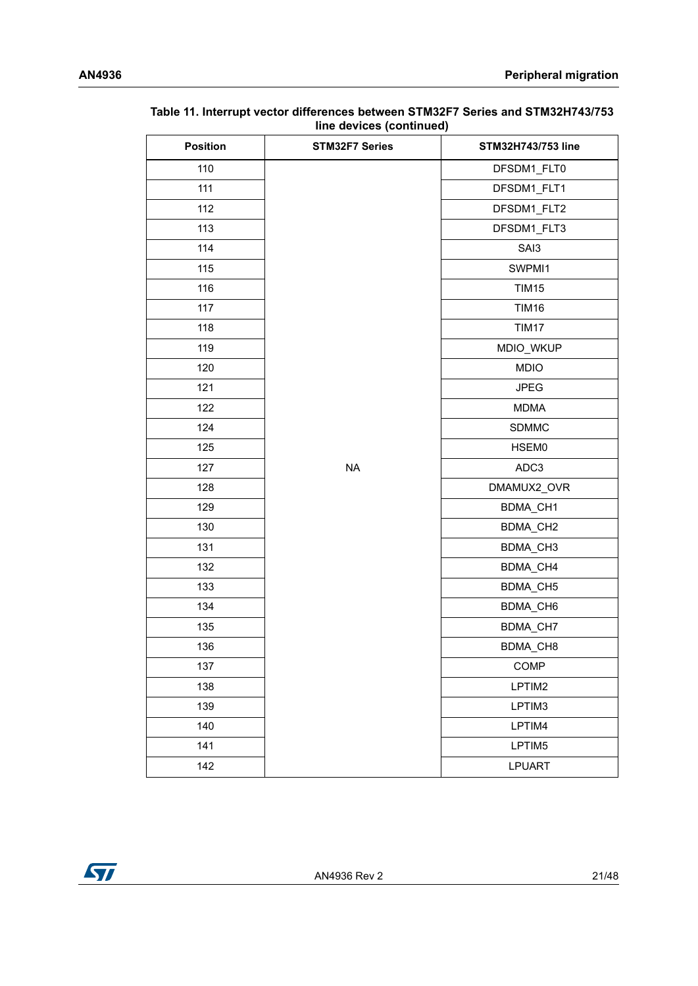| <b>Position</b> | <b>STM32F7 Series</b> | STM32H743/753 line |
|-----------------|-----------------------|--------------------|
| 110             |                       | DFSDM1 FLT0        |
| 111             |                       | DFSDM1_FLT1        |
| 112             |                       | DFSDM1_FLT2        |
| 113             |                       | DFSDM1_FLT3        |
| 114             |                       | SAI3               |
| 115             |                       | SWPMI1             |
| 116             |                       | <b>TIM15</b>       |
| 117             |                       | <b>TIM16</b>       |
| 118             |                       | <b>TIM17</b>       |
| 119             |                       | MDIO_WKUP          |
| 120             |                       | <b>MDIO</b>        |
| 121             |                       | <b>JPEG</b>        |
| 122             |                       | <b>MDMA</b>        |
| 124             |                       | <b>SDMMC</b>       |
| 125             |                       | HSEM0              |
| 127             | <b>NA</b>             | ADC3               |
| 128             |                       | DMAMUX2_OVR        |
| 129             |                       | BDMA_CH1           |
| 130             |                       | BDMA_CH2           |
| 131             |                       | BDMA_CH3           |
| 132             |                       | BDMA_CH4           |
| 133             |                       | BDMA_CH5           |
| 134             |                       | BDMA_CH6           |
| 135             |                       | BDMA_CH7           |
| 136             |                       | BDMA CH8           |
| 137             |                       | COMP               |
| 138             |                       | LPTIM2             |
| 139             |                       | LPTIM3             |
| 140             |                       | LPTIM4             |
| 141             |                       | LPTIM5             |
| 142             |                       | <b>LPUART</b>      |

#### **Table 11. Interrupt vector differences between STM32F7 Series and STM32H743/753 line devices (continued)**

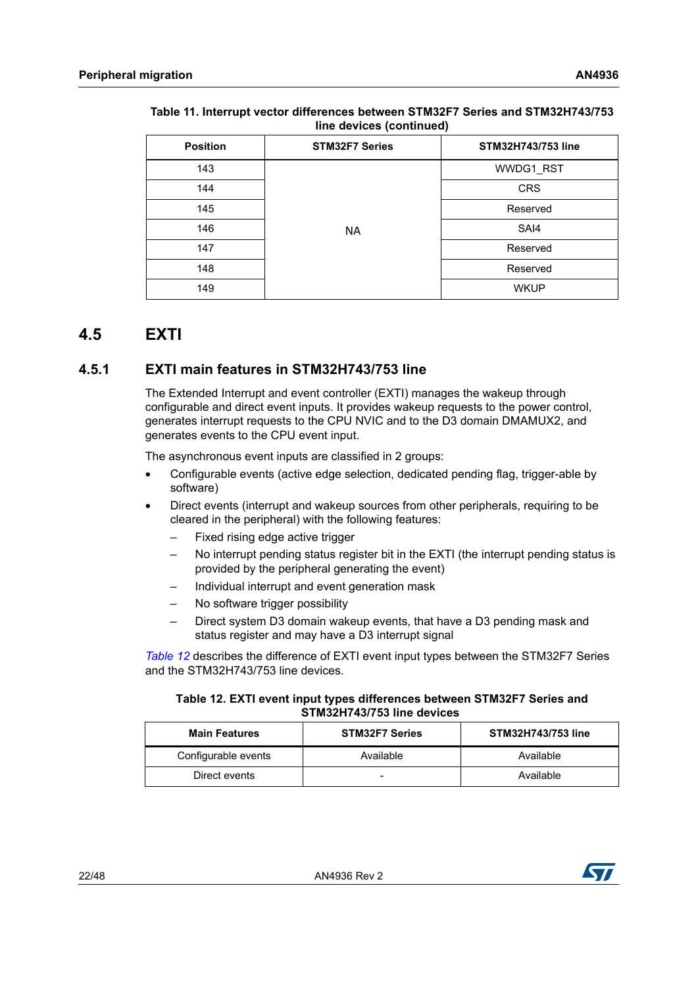| <b>Position</b> | <b>STM32F7 Series</b> | <b>STM32H743/753 line</b> |
|-----------------|-----------------------|---------------------------|
| 143             |                       | WWDG1_RST                 |
| 144             |                       | <b>CRS</b>                |
| 145             |                       | Reserved                  |
| 146             | <b>NA</b>             | SAI4                      |
| 147             |                       | Reserved                  |
| 148             |                       | Reserved                  |
| 149             |                       | <b>WKUP</b>               |

#### **Table 11. Interrupt vector differences between STM32F7 Series and STM32H743/753 line devices (continued)**

## <span id="page-21-0"></span>**4.5 EXTI**

### <span id="page-21-1"></span>**4.5.1 EXTI main features in STM32H743/753 line**

The Extended Interrupt and event controller (EXTI) manages the wakeup through configurable and direct event inputs. It provides wakeup requests to the power control, generates interrupt requests to the CPU NVIC and to the D3 domain DMAMUX2, and generates events to the CPU event input.

The asynchronous event inputs are classified in 2 groups:

- Configurable events (active edge selection, dedicated pending flag, trigger-able by software)
- Direct events (interrupt and wakeup sources from other peripherals, requiring to be cleared in the peripheral) with the following features:
	- Fixed rising edge active trigger
	- No interrupt pending status register bit in the EXTI (the interrupt pending status is provided by the peripheral generating the event)
	- Individual interrupt and event generation mask
	- No software trigger possibility
	- Direct system D3 domain wakeup events, that have a D3 pending mask and status register and may have a D3 interrupt signal

*[Table](#page-21-2) 12* describes the difference of EXTI event input types between the STM32F7 Series and the STM32H743/753 line devices.

#### <span id="page-21-2"></span>**Table 12. EXTI event input types differences between STM32F7 Series and STM32H743/753 line devices**

| <b>Main Features</b> | <b>STM32F7 Series</b> | STM32H743/753 line |
|----------------------|-----------------------|--------------------|
| Configurable events  | Available             | Available          |
| Direct events        | -                     | Available          |

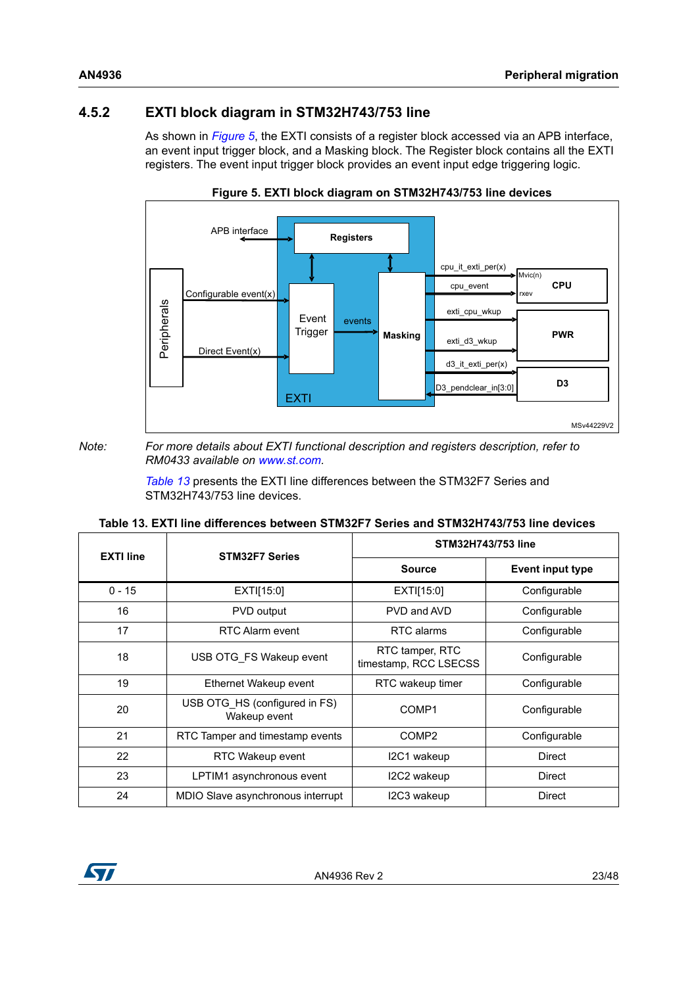### <span id="page-22-0"></span>**4.5.2 EXTI block diagram in STM32H743/753 line**

As shown in *[Figure](#page-22-2) 5*, the EXTI consists of a register block accessed via an APB interface, an event input trigger block, and a Masking block. The Register block contains all the EXTI registers. The event input trigger block provides an event input edge triggering logic.

<span id="page-22-2"></span>

**Figure 5. EXTI block diagram on STM32H743/753 line devices**

*Note: For more details about EXTI functional description and registers description, refer to RM0433 available on www.st.com.*

> *[Table](#page-22-1) 13* presents the EXTI line differences between the STM32F7 Series and STM32H743/753 line devices.

|  |  |  |  |  |  |  |  |  | Table 13. EXTI line differences between STM32F7 Series and STM32H743/753 line devices |
|--|--|--|--|--|--|--|--|--|---------------------------------------------------------------------------------------|
|--|--|--|--|--|--|--|--|--|---------------------------------------------------------------------------------------|

<span id="page-22-1"></span>

| <b>EXTI line</b> | <b>STM32F7 Series</b>                         | STM32H743/753 line                       |                         |
|------------------|-----------------------------------------------|------------------------------------------|-------------------------|
|                  |                                               | <b>Source</b>                            | <b>Event input type</b> |
| $0 - 15$         | EXT[15:0]                                     | EXT[15:0]                                | Configurable            |
| 16               | <b>PVD</b> output                             | PVD and AVD                              | Configurable            |
| 17               | RTC Alarm event                               | RTC alarms                               | Configurable            |
| 18               | USB OTG FS Wakeup event                       | RTC tamper, RTC<br>timestamp, RCC LSECSS | Configurable            |
| 19               | Ethernet Wakeup event                         | RTC wakeup timer                         | Configurable            |
| 20               | USB OTG HS (configured in FS)<br>Wakeup event | COMP <sub>1</sub>                        | Configurable            |
| 21               | RTC Tamper and timestamp events               | COMP <sub>2</sub>                        | Configurable            |
| 22               | RTC Wakeup event                              | I2C1 wakeup                              | Direct                  |
| 23               | LPTIM1 asynchronous event                     | I2C2 wakeup                              | Direct                  |
| 24               | MDIO Slave asynchronous interrupt             | I2C3 wakeup                              | Direct                  |

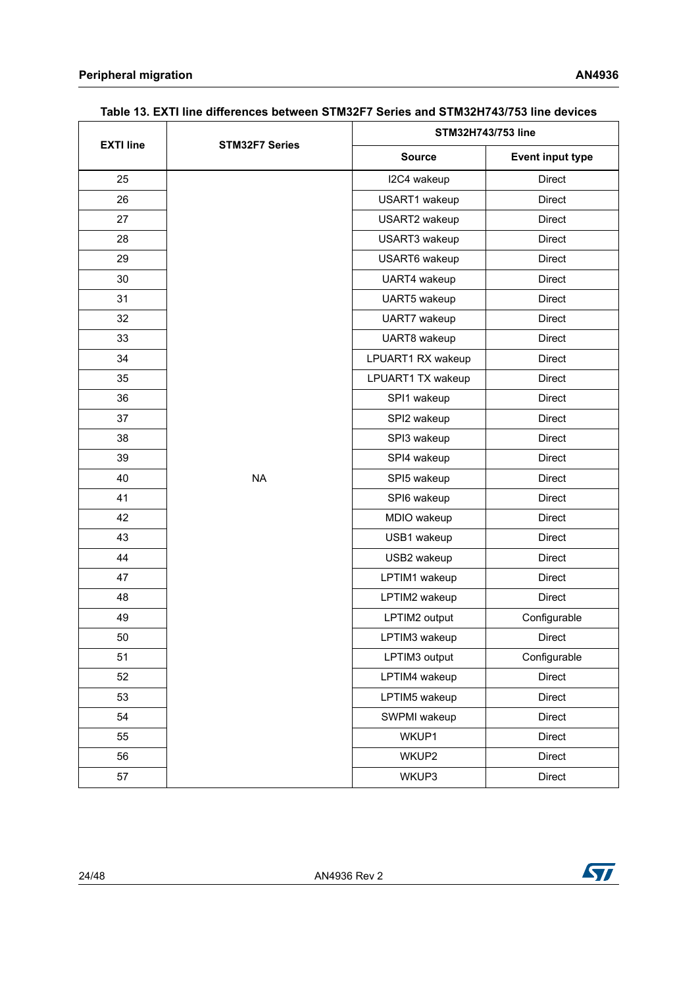| <b>EXTI line</b> |                       | STM32H743/753 line |                         |  |
|------------------|-----------------------|--------------------|-------------------------|--|
|                  | <b>STM32F7 Series</b> | <b>Source</b>      | <b>Event input type</b> |  |
| 25               |                       | I2C4 wakeup        | <b>Direct</b>           |  |
| 26               |                       | USART1 wakeup      | <b>Direct</b>           |  |
| 27               |                       | USART2 wakeup      | <b>Direct</b>           |  |
| 28               |                       | USART3 wakeup      | Direct                  |  |
| 29               |                       | USART6 wakeup      | <b>Direct</b>           |  |
| 30               |                       | UART4 wakeup       | <b>Direct</b>           |  |
| 31               |                       | UART5 wakeup       | Direct                  |  |
| 32               |                       | UART7 wakeup       | <b>Direct</b>           |  |
| 33               |                       | UART8 wakeup       | Direct                  |  |
| 34               |                       | LPUART1 RX wakeup  | Direct                  |  |
| 35               |                       | LPUART1 TX wakeup  | Direct                  |  |
| 36               |                       | SPI1 wakeup        | Direct                  |  |
| 37               |                       | SPI2 wakeup        | Direct                  |  |
| 38               |                       | SPI3 wakeup        | <b>Direct</b>           |  |
| 39               |                       | SPI4 wakeup        | Direct                  |  |
| 40               | <b>NA</b>             | SPI5 wakeup        | Direct                  |  |
| 41               |                       | SPI6 wakeup        | Direct                  |  |
| 42               |                       | MDIO wakeup        | Direct                  |  |
| 43               |                       | USB1 wakeup        | Direct                  |  |
| 44               |                       | USB2 wakeup        | <b>Direct</b>           |  |
| 47               |                       | LPTIM1 wakeup      | Direct                  |  |
| 48               |                       | LPTIM2 wakeup      | Direct                  |  |
| 49               |                       | LPTIM2 output      | Configurable            |  |
| 50               |                       | LPTIM3 wakeup      | <b>Direct</b>           |  |
| 51               |                       | LPTIM3 output      | Configurable            |  |
| 52               |                       | LPTIM4 wakeup      | Direct                  |  |
| 53               |                       | LPTIM5 wakeup      | Direct                  |  |
| 54               |                       | SWPMI wakeup       | Direct                  |  |
| 55               |                       | WKUP1              | Direct                  |  |
| 56               |                       | WKUP2              | Direct                  |  |
| 57               |                       | WKUP3              | Direct                  |  |

### **Table 13. EXTI line differences between STM32F7 Series and STM32H743/753 line devices**



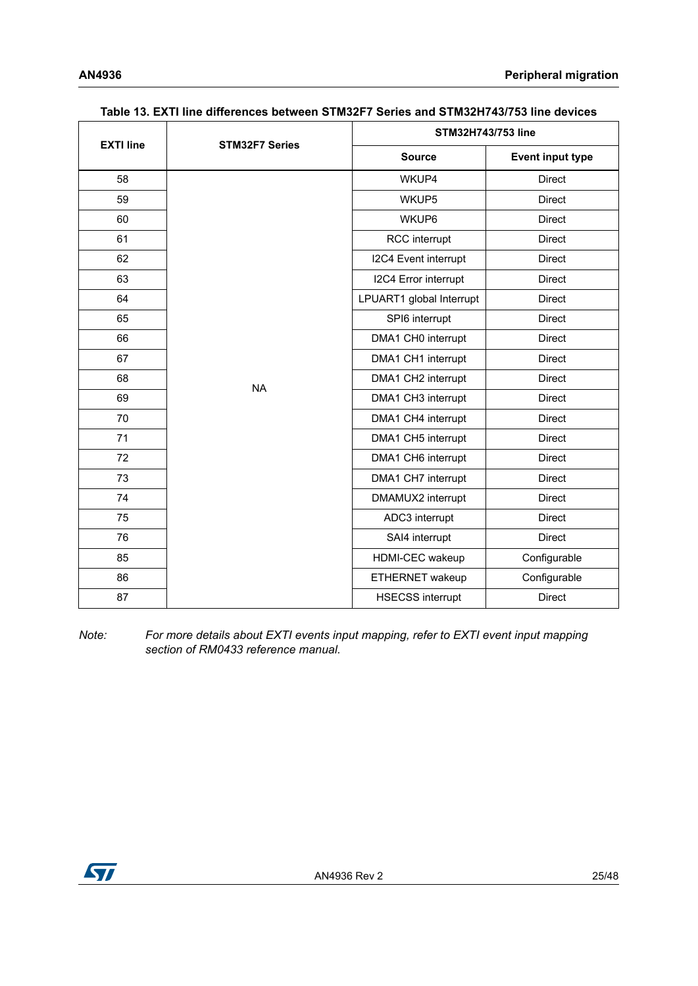|                  |                       | STM32H743/753 line       |                         |  |
|------------------|-----------------------|--------------------------|-------------------------|--|
| <b>EXTI line</b> | <b>STM32F7 Series</b> | <b>Source</b>            | <b>Event input type</b> |  |
| 58               |                       | WKUP4                    | <b>Direct</b>           |  |
| 59               |                       | WKUP5                    | <b>Direct</b>           |  |
| 60               |                       | WKUP6                    | <b>Direct</b>           |  |
| 61               |                       | RCC interrupt            | <b>Direct</b>           |  |
| 62               |                       | I2C4 Event interrupt     | <b>Direct</b>           |  |
| 63               |                       | I2C4 Error interrupt     | <b>Direct</b>           |  |
| 64               |                       | LPUART1 global Interrupt | <b>Direct</b>           |  |
| 65               |                       | SPI6 interrupt           | <b>Direct</b>           |  |
| 66               |                       | DMA1 CH0 interrupt       | <b>Direct</b>           |  |
| 67               |                       | DMA1 CH1 interrupt       | <b>Direct</b>           |  |
| 68               | <b>NA</b>             | DMA1 CH2 interrupt       | <b>Direct</b>           |  |
| 69               |                       | DMA1 CH3 interrupt       | <b>Direct</b>           |  |
| 70               |                       | DMA1 CH4 interrupt       | <b>Direct</b>           |  |
| 71               |                       | DMA1 CH5 interrupt       | <b>Direct</b>           |  |
| 72               |                       | DMA1 CH6 interrupt       | <b>Direct</b>           |  |
| 73               |                       | DMA1 CH7 interrupt       | <b>Direct</b>           |  |
| 74               |                       | DMAMUX2 interrupt        | <b>Direct</b>           |  |
| 75               |                       | ADC3 interrupt           | <b>Direct</b>           |  |
| 76               |                       | SAI4 interrupt           | <b>Direct</b>           |  |
| 85               |                       | HDMI-CEC wakeup          | Configurable            |  |
| 86               |                       | ETHERNET wakeup          | Configurable            |  |
| 87               |                       | <b>HSECSS</b> interrupt  | <b>Direct</b>           |  |

#### **Table 13. EXTI line differences between STM32F7 Series and STM32H743/753 line devices**

*Note: For more details about EXTI events input mapping, refer to EXTI event input mapping section of RM0433 reference manual.*

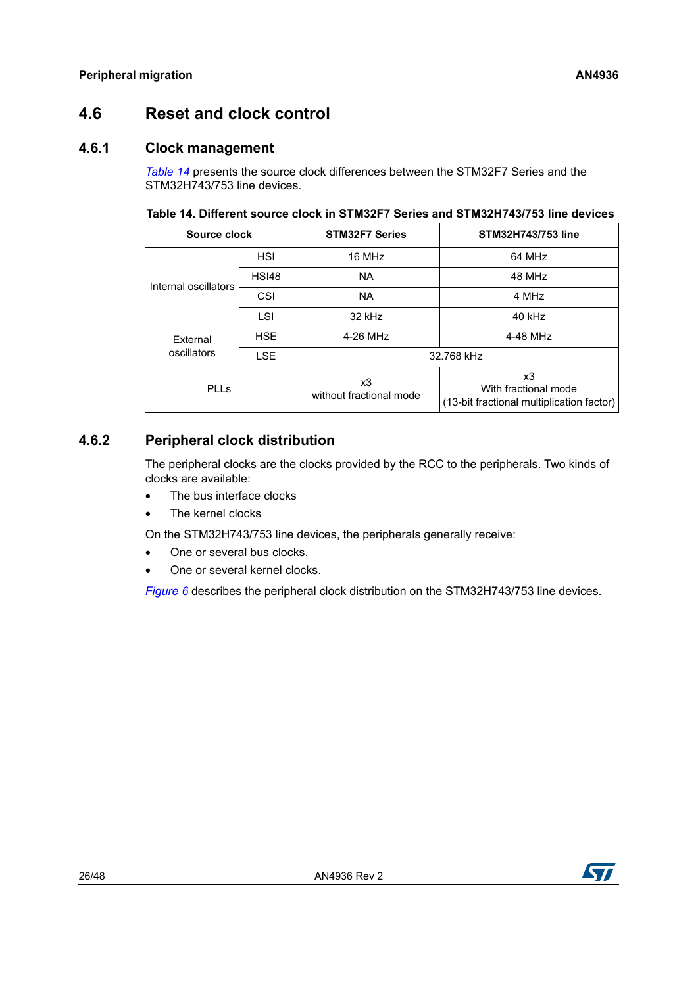## <span id="page-25-0"></span>**4.6 Reset and clock control**

### <span id="page-25-1"></span>**4.6.1 Clock management**

*[Table](#page-25-3) 14* presents the source clock differences between the STM32F7 Series and the STM32H743/753 line devices.

<span id="page-25-3"></span>**Table 14. Different source clock in STM32F7 Series and STM32H743/753 line devices** 

| Source clock         |              | <b>STM32F7 Series</b>         | STM32H743/753 line                                                      |
|----------------------|--------------|-------------------------------|-------------------------------------------------------------------------|
|                      | <b>HSI</b>   | 16 MHz                        | 64 MHz                                                                  |
| Internal oscillators | <b>HSI48</b> | <b>NA</b>                     | 48 MHz                                                                  |
|                      | CSI          | <b>NA</b>                     | 4 MHz                                                                   |
|                      | LSI          | 32 kHz                        | 40 kHz                                                                  |
| External             | <b>HSE</b>   | 4-26 MHz<br>4-48 MHz          |                                                                         |
| oscillators          | <b>LSE</b>   | 32.768 kHz                    |                                                                         |
| <b>PLLs</b>          |              | x3<br>without fractional mode | x3<br>With fractional mode<br>(13-bit fractional multiplication factor) |

### <span id="page-25-2"></span>**4.6.2 Peripheral clock distribution**

The peripheral clocks are the clocks provided by the RCC to the peripherals. Two kinds of clocks are available:

- The bus interface clocks
- The kernel clocks

On the STM32H743/753 line devices, the peripherals generally receive:

- One or several bus clocks.
- One or several kernel clocks.

*[Figure](#page-26-1) 6* describes the peripheral clock distribution on the STM32H743/753 line devices.

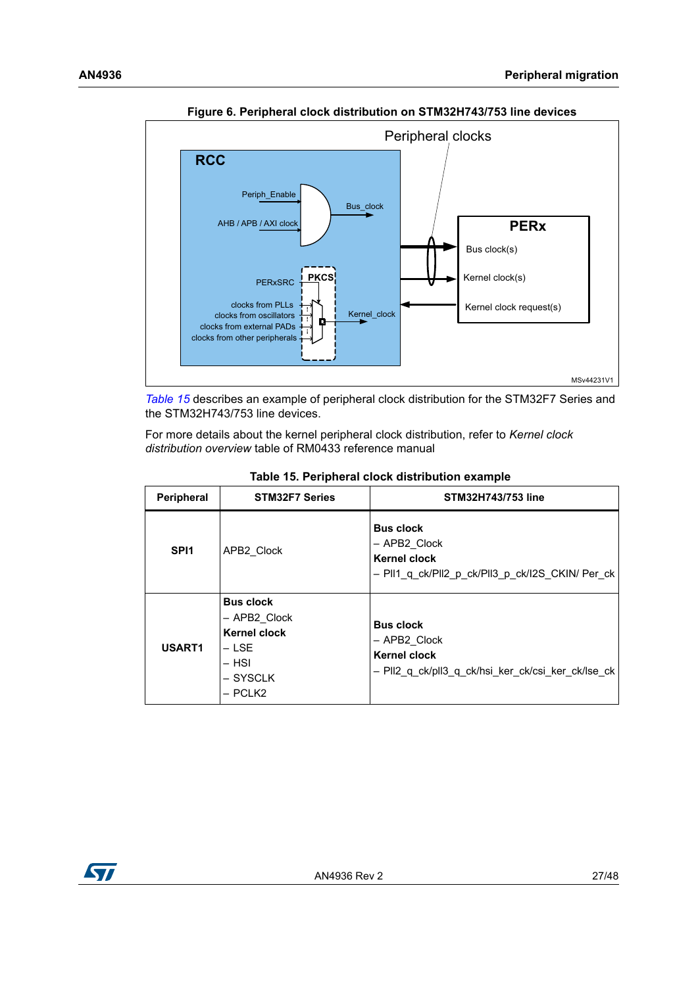<span id="page-26-1"></span>

**Figure 6. Peripheral clock distribution on STM32H743/753 line devices**

*[Table](#page-26-0) 15* describes an example of peripheral clock distribution for the STM32F7 Series and the STM32H743/753 line devices.

[For more details about the kernel peripheral clock distribution, refer to](http://www.st.com) *Kernel clock distribution overview* table of RM0433 reference manual

<span id="page-26-0"></span>

| <b>Peripheral</b> | <b>STM32F7 Series</b>                                                                              | STM32H743/753 line                                                                                            |
|-------------------|----------------------------------------------------------------------------------------------------|---------------------------------------------------------------------------------------------------------------|
| SPI <sub>1</sub>  | APB2 Clock                                                                                         | <b>Bus clock</b><br>- APB2 Clock<br>Kernel clock<br>- PII1 q ck/PII2 p ck/PII3 p ck/I2S CKIN/ Per ck          |
| USART1            | <b>Bus clock</b><br>- APB2 Clock<br><b>Kernel clock</b><br>– LSE<br>$-$ HSI<br>– SYSCLK<br>- PCLK2 | <b>Bus clock</b><br>- APB2 Clock<br><b>Kernel clock</b><br>- PII2 q ck/pII3 q ck/hsi ker ck/csi ker ck/lse ck |

**Table 15. Peripheral clock distribution example** 

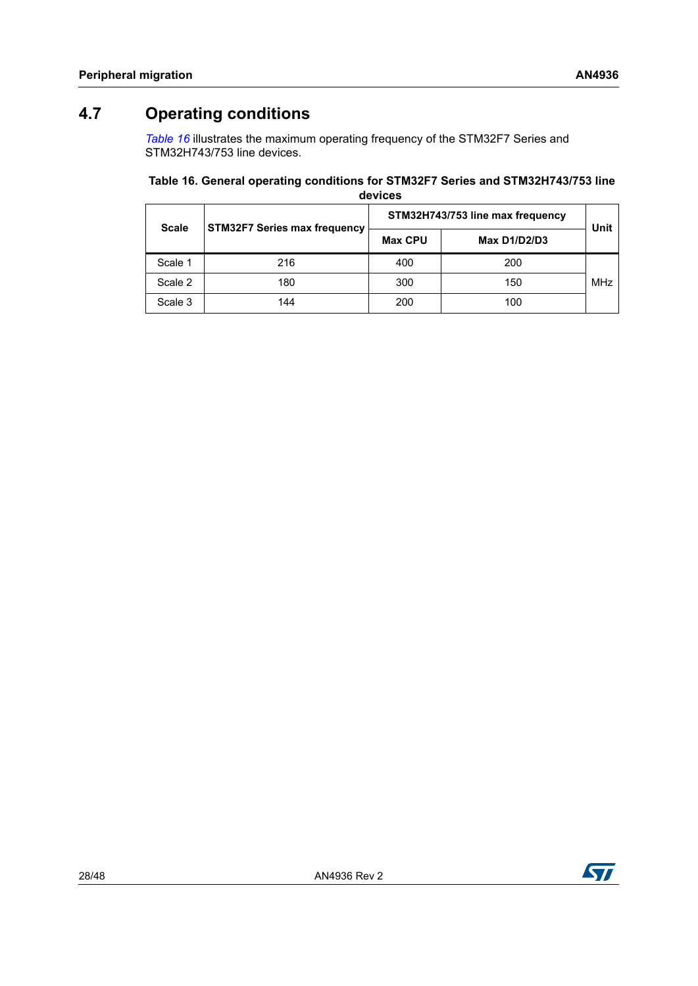## <span id="page-27-0"></span>**4.7 Operating conditions**

*[Table](#page-27-1) 16* illustrates the maximum operating frequency of the STM32F7 Series and STM32H743/753 line devices.

### <span id="page-27-1"></span>**Table 16. General operating conditions for STM32F7 Series and STM32H743/753 line**

| devices      |                                     |                                  |              |            |  |
|--------------|-------------------------------------|----------------------------------|--------------|------------|--|
| <b>Scale</b> | <b>STM32F7 Series max frequency</b> | STM32H743/753 line max frequency |              |            |  |
|              |                                     | <b>Max CPU</b>                   | Max D1/D2/D3 | Unit       |  |
| Scale 1      | 216                                 | 400                              | 200          |            |  |
| Scale 2      | 180                                 | 300                              | 150          | <b>MHz</b> |  |
| Scale 3      | 144                                 | 200                              | 100          |            |  |

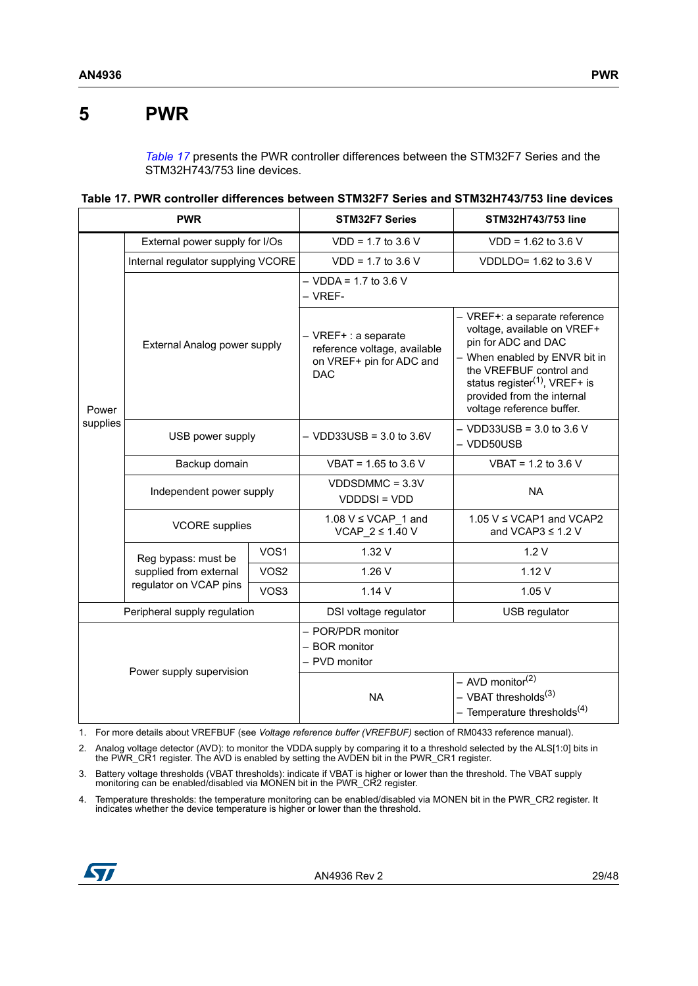## <span id="page-28-0"></span>**5 PWR**

*[Table](#page-28-1) 17* presents the PWR controller differences between the STM32F7 Series and the STM32H743/753 line devices.

<span id="page-28-1"></span>**Table 17. PWR controller differences between STM32F7 Series and STM32H743/753 line devices** 

| <b>PWR</b>                   |                                                                         | <b>STM32F7 Series</b>                               | STM32H743/753 line                                                                             |                                                                                                                                                                                                                                                |
|------------------------------|-------------------------------------------------------------------------|-----------------------------------------------------|------------------------------------------------------------------------------------------------|------------------------------------------------------------------------------------------------------------------------------------------------------------------------------------------------------------------------------------------------|
| Power<br>supplies            | External power supply for I/Os                                          |                                                     | $VDD = 1.7$ to 3.6 V                                                                           | $VDD = 1.62$ to 3.6 V                                                                                                                                                                                                                          |
|                              | Internal regulator supplying VCORE                                      |                                                     | $VDD = 1.7$ to 3.6 V                                                                           | VDDLDO= 1.62 to 3.6 V                                                                                                                                                                                                                          |
|                              | External Analog power supply                                            |                                                     | $-$ VDDA = 1.7 to 3.6 V<br>- VREF-                                                             |                                                                                                                                                                                                                                                |
|                              |                                                                         |                                                     | - VREF+ : a separate<br>reference voltage, available<br>on VREF+ pin for ADC and<br><b>DAC</b> | - VREF+: a separate reference<br>voltage, available on VREF+<br>pin for ADC and DAC<br>- When enabled by ENVR bit in<br>the VREFBUF control and<br>status register $(1)$ , VREF+ is<br>provided from the internal<br>voltage reference buffer. |
|                              | USB power supply                                                        |                                                     | $-$ VDD33USB = 3.0 to 3.6V                                                                     | $-$ VDD33USB = 3.0 to 3.6 V<br>- VDD50USB                                                                                                                                                                                                      |
|                              | Backup domain                                                           |                                                     | VBAT = 1.65 to 3.6 V                                                                           | VBAT = $1.2$ to $3.6$ V                                                                                                                                                                                                                        |
|                              | Independent power supply                                                |                                                     | $VDDSDMMC = 3.3V$<br><b>VDDDSI = VDD</b>                                                       | <b>NA</b>                                                                                                                                                                                                                                      |
|                              | <b>VCORE</b> supplies                                                   |                                                     | 1.08 $V \leq VCAP$ 1 and<br>VCAP $2 \leq 1.40$ V                                               | 1.05 $V \leq VCAP1$ and VCAP2<br>and VCAP3 $\leq$ 1.2 V                                                                                                                                                                                        |
|                              | Reg bypass: must be<br>supplied from external<br>regulator on VCAP pins | VOS1                                                | 1.32 V                                                                                         | 1.2V                                                                                                                                                                                                                                           |
|                              |                                                                         | VOS <sub>2</sub>                                    | 1.26V                                                                                          | 1.12V                                                                                                                                                                                                                                          |
|                              |                                                                         | VOS3                                                | 1.14V                                                                                          | 1.05V                                                                                                                                                                                                                                          |
| Peripheral supply regulation |                                                                         | DSI voltage regulator                               | USB regulator                                                                                  |                                                                                                                                                                                                                                                |
|                              |                                                                         | - POR/PDR monitor<br>- BOR monitor<br>- PVD monitor |                                                                                                |                                                                                                                                                                                                                                                |
| Power supply supervision     |                                                                         |                                                     | <b>NA</b>                                                                                      | - AVD monitor <sup>(2)</sup><br>– VBAT thresholds <sup>(3)</sup><br>- Temperature thresholds <sup>(4)</sup>                                                                                                                                    |

1. For more details about VREFBUF (see *Voltage reference buffer (VREFBUF)* section of RM0433 reference manual).

2. Analog voltage detector (AVD): to monitor the VDDA supply by comparing it to a threshold selected by the ALS[1:0] bits in the PWR\_CR1 register. The AVD is enabled by setting the AVDEN bit in the PWR\_CR1 register.

3. Battery voltage thresholds (VBAT thresholds): indicate if VBAT is higher or lower than the threshold. The VBAT supply monitoring can be enabled/disabled via MONEN bit in the PWR\_CR2 register.

4. Temperature thresholds: the temperature monitoring can be enabled/disabled via MONEN bit in the PWR\_CR2 register. It indicates whether the device temperature is higher or lower than the threshold.

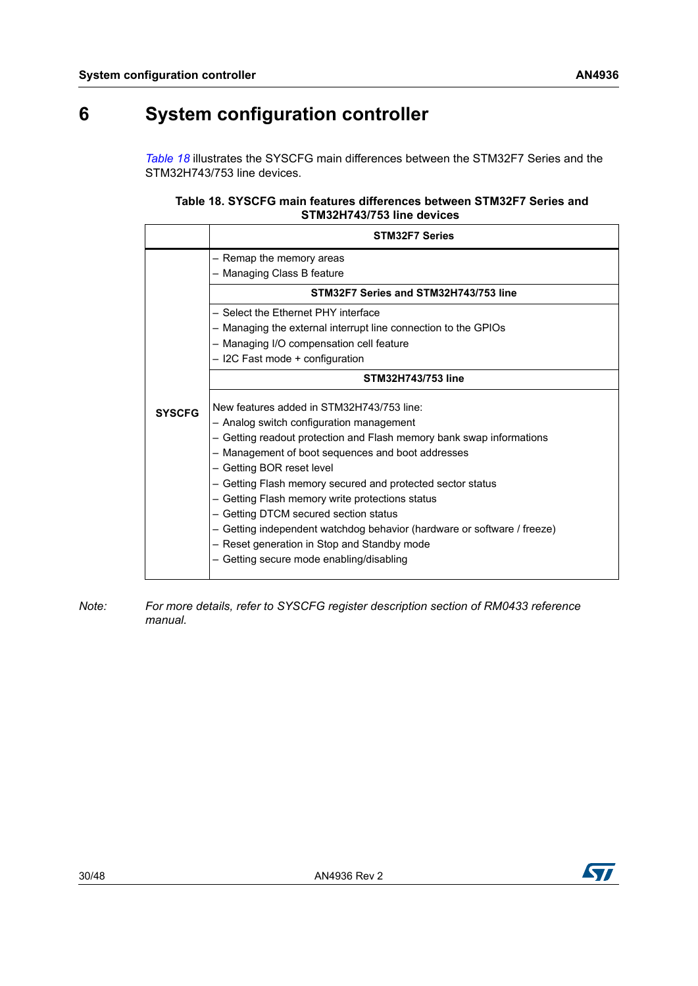# <span id="page-29-0"></span>**6 System configuration controller**

*[Table](#page-29-1) 18* illustrates the SYSCFG main differences between the STM32F7 Series and the STM32H743/753 line devices.

<span id="page-29-1"></span>

| Table 18, SYSCFG main features differences between STM32F7 Series and |
|-----------------------------------------------------------------------|
| STM32H743/753 line devices                                            |

|               | <b>STM32F7 Series</b>                                                                                                                                                                                                                                                                                                                                                                                                                                                                                                                                                           |
|---------------|---------------------------------------------------------------------------------------------------------------------------------------------------------------------------------------------------------------------------------------------------------------------------------------------------------------------------------------------------------------------------------------------------------------------------------------------------------------------------------------------------------------------------------------------------------------------------------|
|               | - Remap the memory areas                                                                                                                                                                                                                                                                                                                                                                                                                                                                                                                                                        |
|               | - Managing Class B feature                                                                                                                                                                                                                                                                                                                                                                                                                                                                                                                                                      |
|               | STM32F7 Series and STM32H743/753 line                                                                                                                                                                                                                                                                                                                                                                                                                                                                                                                                           |
|               | - Select the Ethernet PHY interface                                                                                                                                                                                                                                                                                                                                                                                                                                                                                                                                             |
|               | - Managing the external interrupt line connection to the GPIOs                                                                                                                                                                                                                                                                                                                                                                                                                                                                                                                  |
|               | - Managing I/O compensation cell feature                                                                                                                                                                                                                                                                                                                                                                                                                                                                                                                                        |
|               | - I2C Fast mode + configuration                                                                                                                                                                                                                                                                                                                                                                                                                                                                                                                                                 |
|               | STM32H743/753 line                                                                                                                                                                                                                                                                                                                                                                                                                                                                                                                                                              |
| <b>SYSCFG</b> | New features added in STM32H743/753 line:<br>- Analog switch configuration management<br>- Getting readout protection and Flash memory bank swap informations<br>- Management of boot sequences and boot addresses<br>- Getting BOR reset level<br>- Getting Flash memory secured and protected sector status<br>- Getting Flash memory write protections status<br>- Getting DTCM secured section status<br>- Getting independent watchdog behavior (hardware or software / freeze)<br>- Reset generation in Stop and Standby mode<br>- Getting secure mode enabling/disabling |

*Note: For more details, refer to SYSCFG register description section of RM0433 reference manual.*

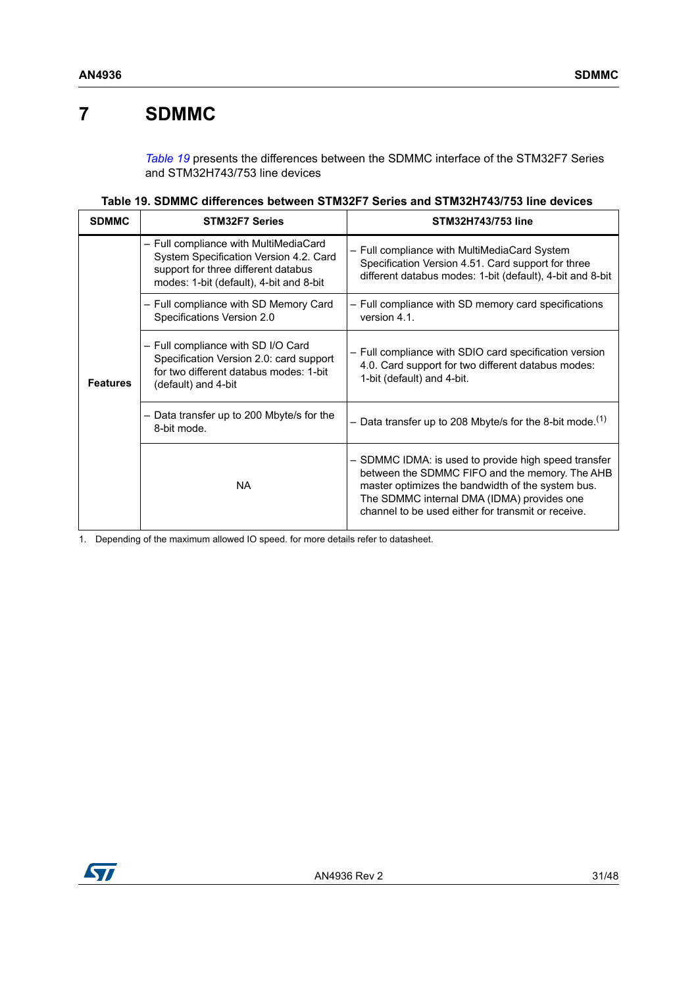## <span id="page-30-0"></span>**7 SDMMC**

*[Table](#page-30-1) 19* presents the differences between the SDMMC interface of the STM32F7 Series and STM32H743/753 line devices

|  | Table 19. SDMMC differences between STM32F7 Series and STM32H743/753 line devices |  |
|--|-----------------------------------------------------------------------------------|--|
|--|-----------------------------------------------------------------------------------|--|

<span id="page-30-1"></span>

| <b>SDMMC</b>    | <b>STM32F7 Series</b>                                                                                                                                             | STM32H743/753 line                                                                                                                                                                                                                                              |
|-----------------|-------------------------------------------------------------------------------------------------------------------------------------------------------------------|-----------------------------------------------------------------------------------------------------------------------------------------------------------------------------------------------------------------------------------------------------------------|
|                 | - Full compliance with MultiMediaCard<br>System Specification Version 4.2. Card<br>support for three different databus<br>modes: 1-bit (default), 4-bit and 8-bit | - Full compliance with MultiMediaCard System<br>Specification Version 4.51. Card support for three<br>different databus modes: 1-bit (default), 4-bit and 8-bit                                                                                                 |
|                 | - Full compliance with SD Memory Card<br>Specifications Version 2.0                                                                                               | - Full compliance with SD memory card specifications<br>version 4.1.                                                                                                                                                                                            |
| <b>Features</b> | - Full compliance with SD I/O Card<br>Specification Version 2.0: card support<br>for two different databus modes: 1-bit<br>(default) and 4-bit                    | - Full compliance with SDIO card specification version<br>4.0. Card support for two different databus modes:<br>1-bit (default) and 4-bit.                                                                                                                      |
|                 | Data transfer up to 200 Mbyte/s for the<br>—<br>8-bit mode.                                                                                                       | - Data transfer up to 208 Mbyte/s for the 8-bit mode. <sup>(1)</sup>                                                                                                                                                                                            |
|                 | <b>NA</b>                                                                                                                                                         | - SDMMC IDMA: is used to provide high speed transfer<br>between the SDMMC FIFO and the memory. The AHB<br>master optimizes the bandwidth of the system bus.<br>The SDMMC internal DMA (IDMA) provides one<br>channel to be used either for transmit or receive. |

1. Depending of the maximum allowed IO speed. for more details refer to datasheet.

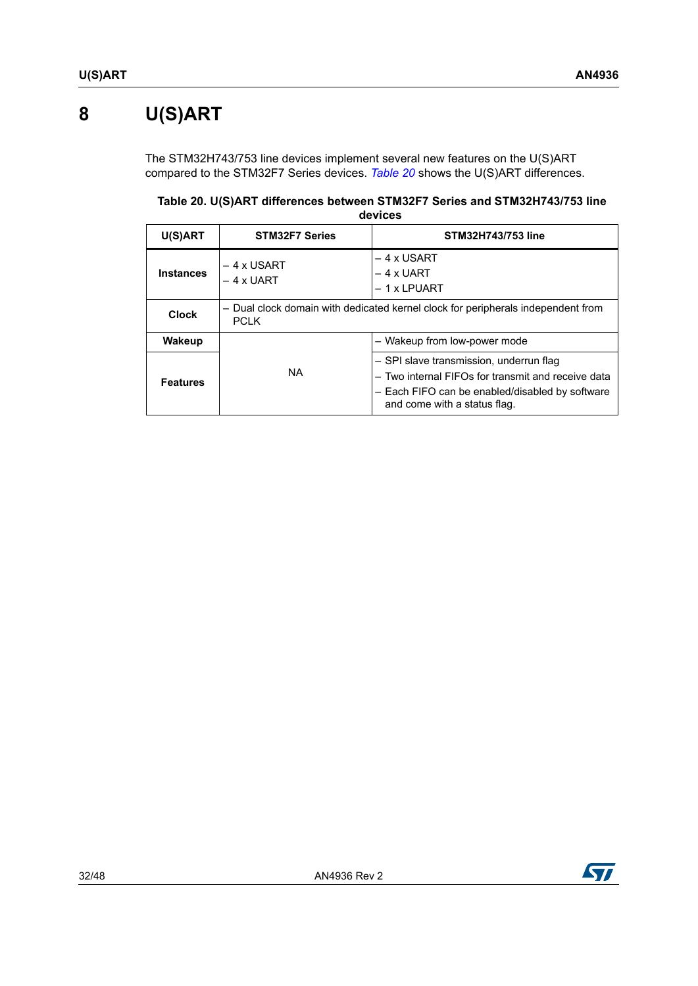# <span id="page-31-0"></span>**8 U(S)ART**

The STM32H743/753 line devices implement several new features on the U(S)ART compared to the STM32F7 Series devices. *[Table](#page-31-1) 20* shows the U(S)ART differences.

<span id="page-31-1"></span>**Table 20. U(S)ART differences between STM32F7 Series and STM32H743/753 line devices** 

| U(S)ART          | <b>STM32F7 Series</b>                                                                           | STM32H743/753 line                                                                                                                                                               |
|------------------|-------------------------------------------------------------------------------------------------|----------------------------------------------------------------------------------------------------------------------------------------------------------------------------------|
| <b>Instances</b> | $-4x$ USART<br>$-4x$ UART                                                                       | $-4x$ USART<br>$-4$ x UART<br>$-1x$ LPUART                                                                                                                                       |
| <b>Clock</b>     | - Dual clock domain with dedicated kernel clock for peripherals independent from<br><b>PCLK</b> |                                                                                                                                                                                  |
| <b>Wakeup</b>    |                                                                                                 | - Wakeup from low-power mode                                                                                                                                                     |
| <b>Features</b>  | NA.                                                                                             | - SPI slave transmission, underrun flag<br>- Two internal FIFOs for transmit and receive data<br>- Each FIFO can be enabled/disabled by software<br>and come with a status flag. |

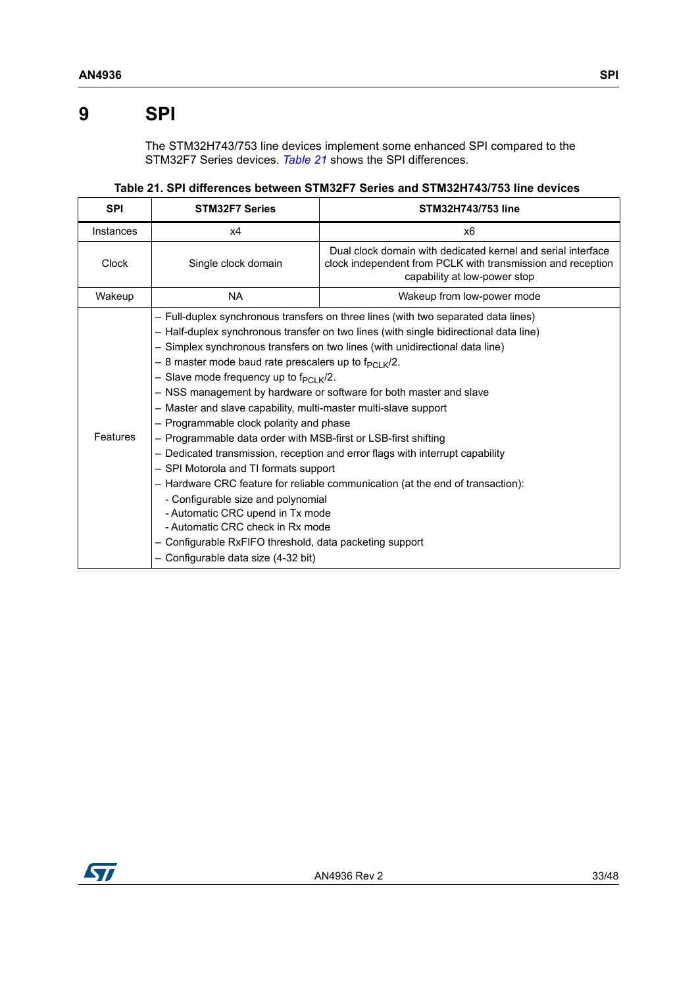## <span id="page-32-0"></span>**9 SPI**

The STM32H743/753 line devices implement some enhanced SPI compared to the STM32F7 Series devices. *[Table](#page-32-1) 21* shows the SPI differences.

**Table 21. SPI differences between STM32F7 Series and STM32H743/753 line devices** 

<span id="page-32-1"></span>

| <b>SPI</b>      | <b>STM32F7 Series</b>                                                                                                                                                                                                                                                                                                                                                                                                                                                                                                                                                                                                                                                                                                                                                                                                                                                                                                                                                                                                                                      | STM32H743/753 line                                                                                                                                          |
|-----------------|------------------------------------------------------------------------------------------------------------------------------------------------------------------------------------------------------------------------------------------------------------------------------------------------------------------------------------------------------------------------------------------------------------------------------------------------------------------------------------------------------------------------------------------------------------------------------------------------------------------------------------------------------------------------------------------------------------------------------------------------------------------------------------------------------------------------------------------------------------------------------------------------------------------------------------------------------------------------------------------------------------------------------------------------------------|-------------------------------------------------------------------------------------------------------------------------------------------------------------|
| Instances       | х4                                                                                                                                                                                                                                                                                                                                                                                                                                                                                                                                                                                                                                                                                                                                                                                                                                                                                                                                                                                                                                                         | x6                                                                                                                                                          |
| Clock           | Single clock domain                                                                                                                                                                                                                                                                                                                                                                                                                                                                                                                                                                                                                                                                                                                                                                                                                                                                                                                                                                                                                                        | Dual clock domain with dedicated kernel and serial interface<br>clock independent from PCLK with transmission and reception<br>capability at low-power stop |
| Wakeup          | <b>NA</b>                                                                                                                                                                                                                                                                                                                                                                                                                                                                                                                                                                                                                                                                                                                                                                                                                                                                                                                                                                                                                                                  | Wakeup from low-power mode                                                                                                                                  |
| <b>Features</b> | - Full-duplex synchronous transfers on three lines (with two separated data lines)<br>- Half-duplex synchronous transfer on two lines (with single bidirectional data line)<br>- Simplex synchronous transfers on two lines (with unidirectional data line)<br>- 8 master mode baud rate prescalers up to $f_{PCLK}/2$ .<br>- Slave mode frequency up to $f_{PCl K}/2$ .<br>- NSS management by hardware or software for both master and slave<br>- Master and slave capability, multi-master multi-slave support<br>- Programmable clock polarity and phase<br>- Programmable data order with MSB-first or LSB-first shifting<br>- Dedicated transmission, reception and error flags with interrupt capability<br>- SPI Motorola and TI formats support<br>- Hardware CRC feature for reliable communication (at the end of transaction):<br>- Configurable size and polynomial<br>- Automatic CRC upend in Tx mode<br>- Automatic CRC check in Rx mode<br>- Configurable RxFIFO threshold, data packeting support<br>- Configurable data size (4-32 bit) |                                                                                                                                                             |

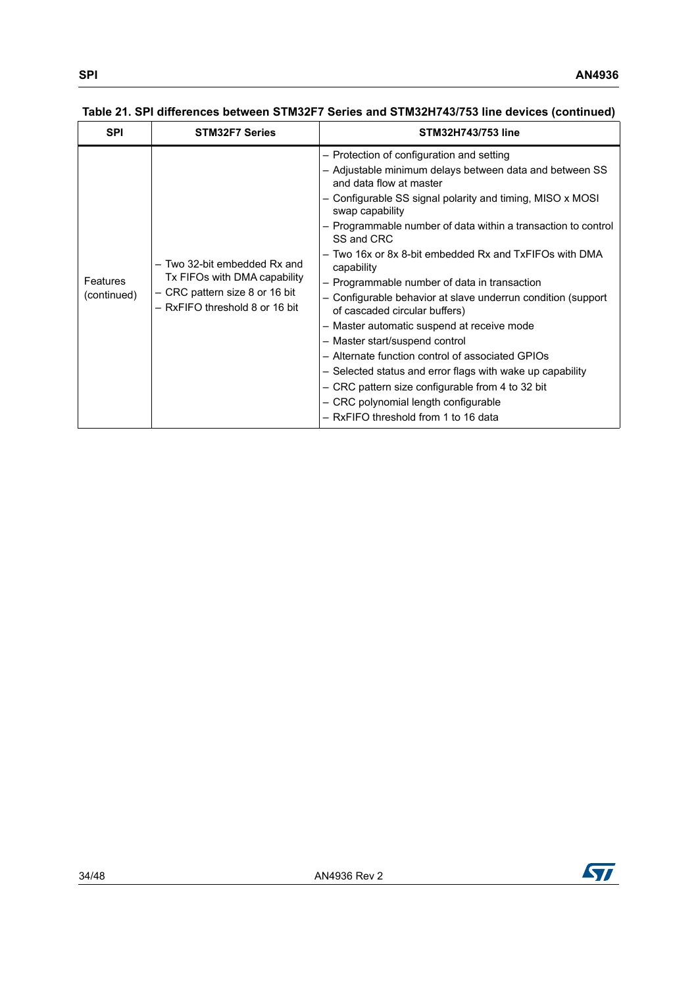| <b>SPI</b>              | <b>STM32F7 Series</b>                                                                                                            | <b>STM32H743/753 line</b>                                                                                                                                                                                                                                                                                                                                                                                                                                                                                                                                                                                                                                                                                                                                                                                                                                    |
|-------------------------|----------------------------------------------------------------------------------------------------------------------------------|--------------------------------------------------------------------------------------------------------------------------------------------------------------------------------------------------------------------------------------------------------------------------------------------------------------------------------------------------------------------------------------------------------------------------------------------------------------------------------------------------------------------------------------------------------------------------------------------------------------------------------------------------------------------------------------------------------------------------------------------------------------------------------------------------------------------------------------------------------------|
| Features<br>(continued) | - Two 32-bit embedded Rx and<br>Tx FIFOs with DMA capability<br>- CRC pattern size 8 or 16 bit<br>- RxFIFO threshold 8 or 16 bit | - Protection of configuration and setting<br>- Adjustable minimum delays between data and between SS<br>and data flow at master<br>- Configurable SS signal polarity and timing, MISO x MOSI<br>swap capability<br>- Programmable number of data within a transaction to control<br>SS and CRC<br>– Two 16x or 8x 8-bit embedded Rx and TxFIFOs with DMA<br>capability<br>- Programmable number of data in transaction<br>- Configurable behavior at slave underrun condition (support<br>of cascaded circular buffers)<br>- Master automatic suspend at receive mode<br>- Master start/suspend control<br>- Alternate function control of associated GPIOs<br>- Selected status and error flags with wake up capability<br>- CRC pattern size configurable from 4 to 32 bit<br>- CRC polynomial length configurable<br>- RxFIFO threshold from 1 to 16 data |

#### **Table 21. SPI differences between STM32F7 Series and STM32H743/753 line devices (continued)**

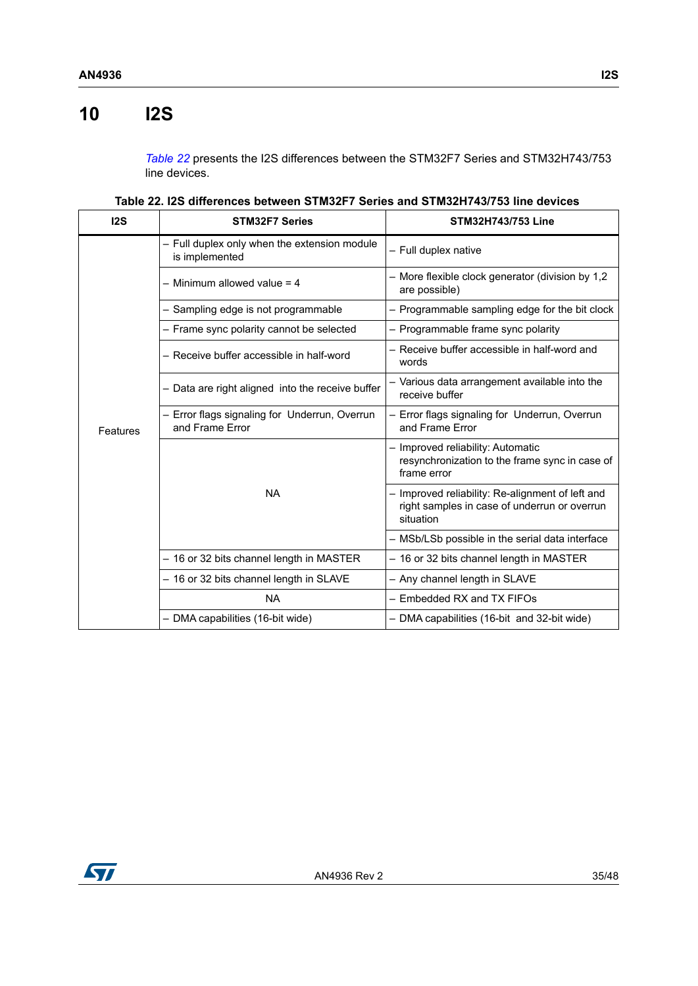# <span id="page-34-0"></span>**10 I2S**

*[Table](#page-34-1) 22* presents the I2S differences between the STM32F7 Series and STM32H743/753 line devices.

| Table 22. I2S differences between STM32F7 Series and STM32H743/753 line devices |  |
|---------------------------------------------------------------------------------|--|
|---------------------------------------------------------------------------------|--|

<span id="page-34-1"></span>

| 12S      | <b>STM32F7 Series</b>                                            | STM32H743/753 Line                                                                                            |
|----------|------------------------------------------------------------------|---------------------------------------------------------------------------------------------------------------|
|          | - Full duplex only when the extension module<br>is implemented   | - Full duplex native                                                                                          |
|          | $-$ Minimum allowed value = 4                                    | - More flexible clock generator (division by 1,2<br>are possible)                                             |
|          | - Sampling edge is not programmable                              | - Programmable sampling edge for the bit clock                                                                |
|          | - Frame sync polarity cannot be selected                         | - Programmable frame sync polarity                                                                            |
|          | - Receive buffer accessible in half-word                         | - Receive buffer accessible in half-word and<br>words                                                         |
|          | - Data are right aligned into the receive buffer                 | - Various data arrangement available into the<br>receive buffer                                               |
| Features | - Error flags signaling for Underrun, Overrun<br>and Frame Error | - Error flags signaling for Underrun, Overrun<br>and Frame Error                                              |
|          |                                                                  | - Improved reliability: Automatic<br>resynchronization to the frame sync in case of<br>frame error            |
|          | <b>NA</b>                                                        | - Improved reliability: Re-alignment of left and<br>right samples in case of underrun or overrun<br>situation |
|          |                                                                  | - MSb/LSb possible in the serial data interface                                                               |
|          | - 16 or 32 bits channel length in MASTER                         | - 16 or 32 bits channel length in MASTER                                                                      |
|          | - 16 or 32 bits channel length in SLAVE                          | - Any channel length in SLAVE                                                                                 |
|          | <b>NA</b>                                                        | - Embedded RX and TX FIFOs                                                                                    |
|          | - DMA capabilities (16-bit wide)                                 | - DMA capabilities (16-bit and 32-bit wide)                                                                   |

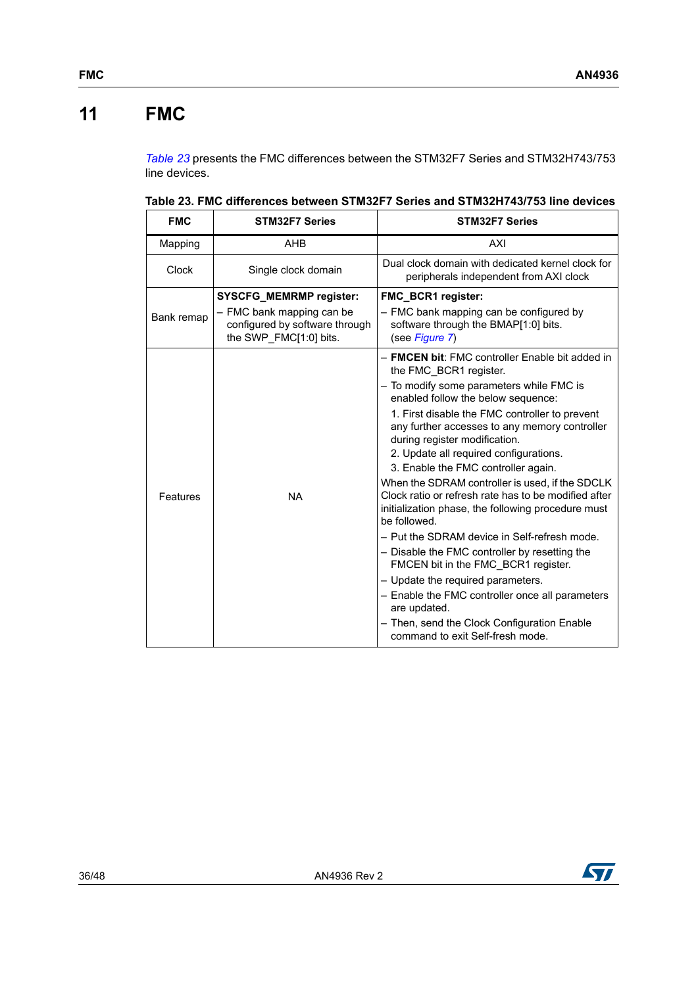# <span id="page-35-0"></span>**11 FMC**

*[Table](#page-35-1) 23* presents the FMC differences between the STM32F7 Series and STM32H743/753 line devices.

<span id="page-35-1"></span>**Table 23. FMC differences between STM32F7 Series and STM32H743/753 line devices** 

| <b>FMC</b>   | <b>STM32F7 Series</b>                                                                 | <b>STM32F7 Series</b>                                                                                                                                                         |  |
|--------------|---------------------------------------------------------------------------------------|-------------------------------------------------------------------------------------------------------------------------------------------------------------------------------|--|
| Mapping      | <b>AHB</b>                                                                            | AXI                                                                                                                                                                           |  |
| <b>Clock</b> | Single clock domain                                                                   | Dual clock domain with dedicated kernel clock for<br>peripherals independent from AXI clock                                                                                   |  |
|              | <b>SYSCFG_MEMRMP register:</b>                                                        | <b>FMC BCR1 register:</b>                                                                                                                                                     |  |
| Bank remap   | - FMC bank mapping can be<br>configured by software through<br>the SWP FMC[1:0] bits. | - FMC bank mapping can be configured by<br>software through the BMAP[1:0] bits.<br>(see Figure 7)                                                                             |  |
|              |                                                                                       | - FMCEN bit: FMC controller Enable bit added in<br>the FMC_BCR1 register.                                                                                                     |  |
|              |                                                                                       | - To modify some parameters while FMC is<br>enabled follow the below sequence:                                                                                                |  |
|              |                                                                                       | 1. First disable the FMC controller to prevent<br>any further accesses to any memory controller<br>during register modification.                                              |  |
|              |                                                                                       | 2. Update all required configurations.<br>3. Enable the FMC controller again.                                                                                                 |  |
| Features     | <b>NA</b>                                                                             | When the SDRAM controller is used, if the SDCLK<br>Clock ratio or refresh rate has to be modified after<br>initialization phase, the following procedure must<br>be followed. |  |
|              |                                                                                       | - Put the SDRAM device in Self-refresh mode.                                                                                                                                  |  |
|              |                                                                                       | - Disable the FMC controller by resetting the<br>FMCEN bit in the FMC BCR1 register.                                                                                          |  |
|              |                                                                                       | - Update the required parameters.                                                                                                                                             |  |
|              |                                                                                       | - Enable the FMC controller once all parameters<br>are updated.                                                                                                               |  |
|              |                                                                                       | - Then, send the Clock Configuration Enable<br>command to exit Self-fresh mode.                                                                                               |  |

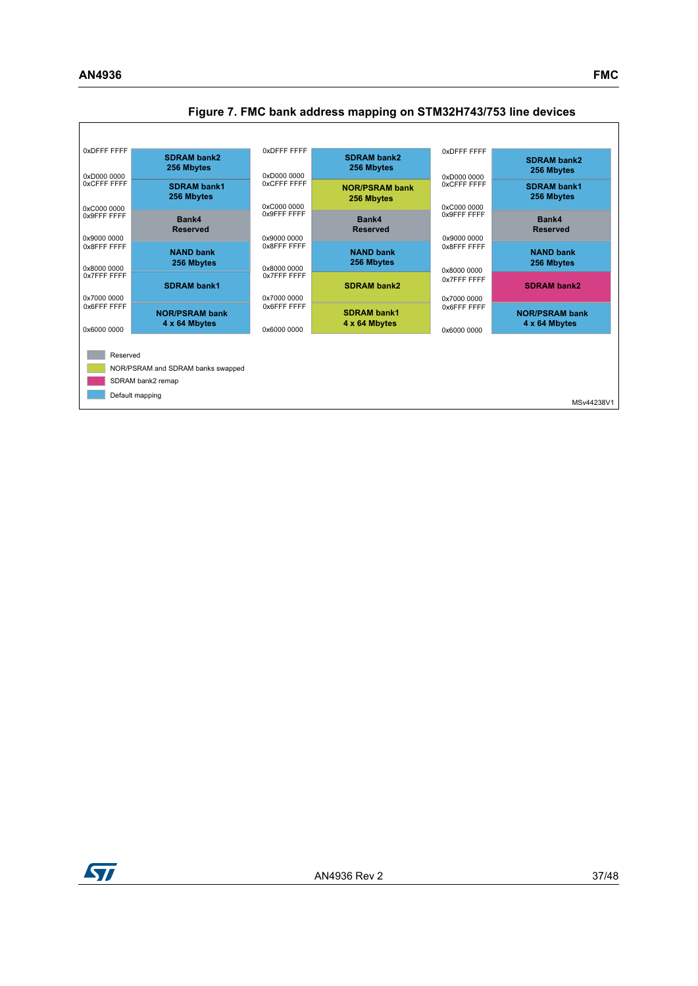

#### <span id="page-36-0"></span>**Figure 7. FMC bank address mapping on STM32H743/753 line devices**

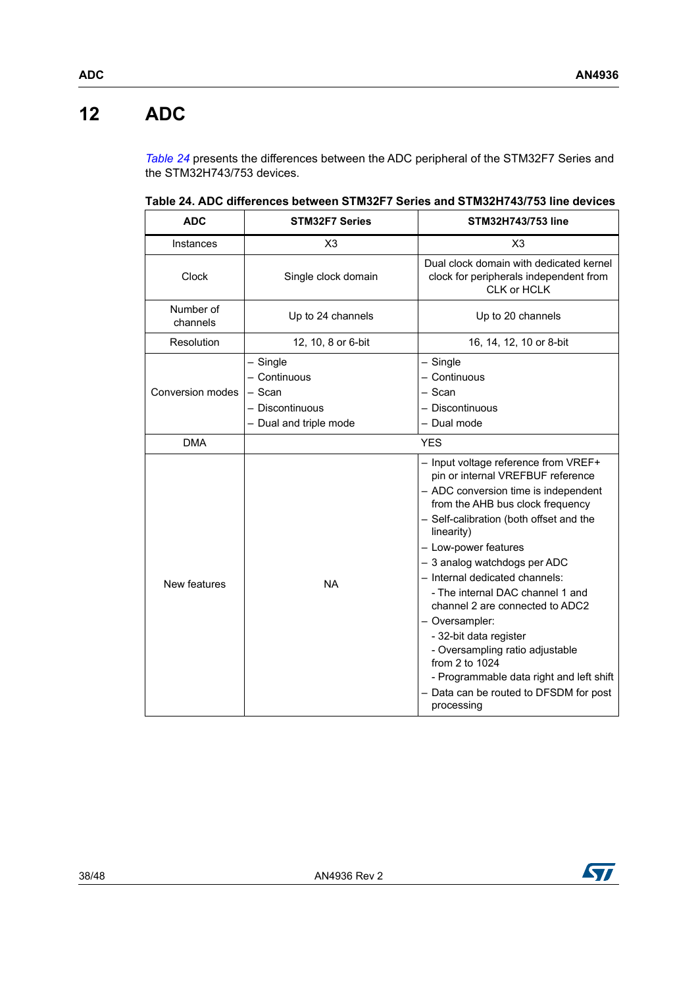# <span id="page-37-0"></span>**12 ADC**

*[Table](#page-37-1) 24* presents the differences between the ADC peripheral of the STM32F7 Series and the STM32H743/753 devices.

| <b>ADC</b>            | <b>STM32F7 Series</b>                                                             | <b>STM32H743/753 line</b>                                                                                                                                                                                                                                                                                                                                                                                                                                                                                                                                                            |
|-----------------------|-----------------------------------------------------------------------------------|--------------------------------------------------------------------------------------------------------------------------------------------------------------------------------------------------------------------------------------------------------------------------------------------------------------------------------------------------------------------------------------------------------------------------------------------------------------------------------------------------------------------------------------------------------------------------------------|
| Instances             | X3                                                                                | X3                                                                                                                                                                                                                                                                                                                                                                                                                                                                                                                                                                                   |
| <b>Clock</b>          | Single clock domain                                                               | Dual clock domain with dedicated kernel<br>clock for peripherals independent from<br>CLK or HCLK                                                                                                                                                                                                                                                                                                                                                                                                                                                                                     |
| Number of<br>channels | Up to 24 channels                                                                 | Up to 20 channels                                                                                                                                                                                                                                                                                                                                                                                                                                                                                                                                                                    |
| Resolution            | 12, 10, 8 or 6-bit                                                                | 16, 14, 12, 10 or 8-bit                                                                                                                                                                                                                                                                                                                                                                                                                                                                                                                                                              |
| Conversion modes      | - Single<br>- Continuous<br>$-$ Scan<br>- Discontinuous<br>- Dual and triple mode | $-$ Single<br>- Continuous<br>$-$ Scan<br>- Discontinuous<br>- Dual mode                                                                                                                                                                                                                                                                                                                                                                                                                                                                                                             |
| <b>DMA</b>            |                                                                                   | <b>YES</b>                                                                                                                                                                                                                                                                                                                                                                                                                                                                                                                                                                           |
| New features          | <b>NA</b>                                                                         | - Input voltage reference from VREF+<br>pin or internal VREFBUF reference<br>- ADC conversion time is independent<br>from the AHB bus clock frequency<br>- Self-calibration (both offset and the<br>linearity)<br>- Low-power features<br>- 3 analog watchdogs per ADC<br>- Internal dedicated channels:<br>- The internal DAC channel 1 and<br>channel 2 are connected to ADC2<br>- Oversampler:<br>- 32-bit data register<br>- Oversampling ratio adjustable<br>from 2 to 1024<br>- Programmable data right and left shift<br>- Data can be routed to DFSDM for post<br>processing |

<span id="page-37-1"></span>**Table 24. ADC differences between STM32F7 Series and STM32H743/753 line devices** 

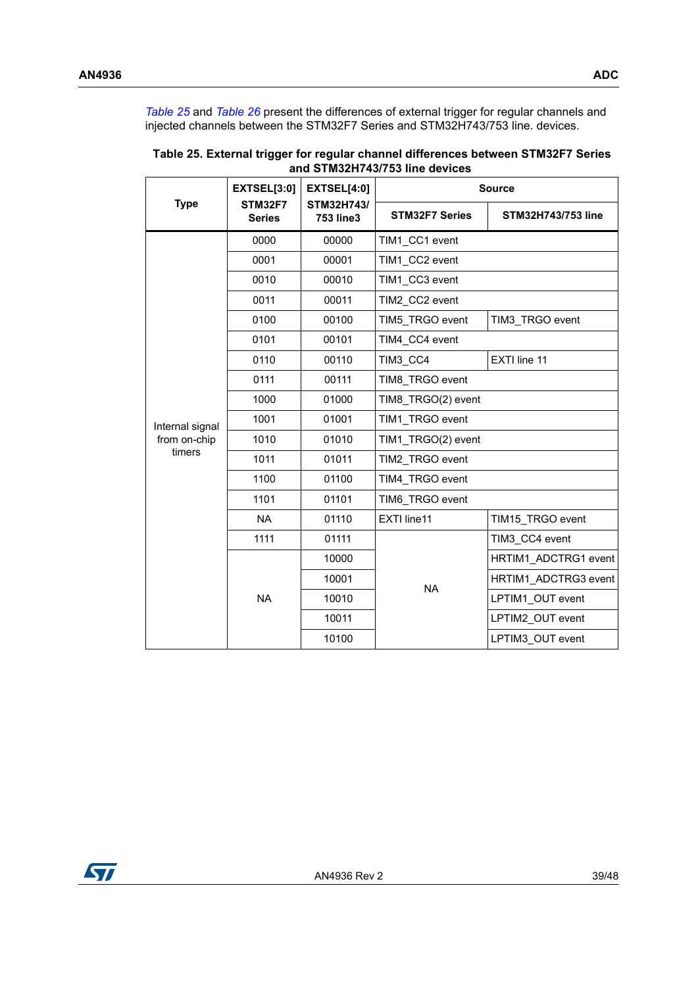*[Table](#page-38-0) 25* and *[Table](#page-39-0) 26* present the differences of external trigger for regular channels and injected channels between the STM32F7 Series and STM32H743/753 line. devices.

|                 | <b>EXTSEL[3:0]</b>              | <b>EXTSEL[4:0]</b><br>STM32H743/<br><b>753 line3</b> | <b>Source</b>                   |                           |  |  |
|-----------------|---------------------------------|------------------------------------------------------|---------------------------------|---------------------------|--|--|
| <b>Type</b>     | <b>STM32F7</b><br><b>Series</b> |                                                      | <b>STM32F7 Series</b>           | <b>STM32H743/753 line</b> |  |  |
|                 | 0000                            | 00000                                                | TIM1 CC1 event                  |                           |  |  |
|                 | 0001                            | 00001                                                | TIM1 CC2 event                  |                           |  |  |
|                 | 0010                            | 00010                                                | TIM1 CC3 event                  |                           |  |  |
|                 | 0011                            | 00011                                                | TIM2 CC2 event                  |                           |  |  |
|                 | 0100                            | 00100                                                | TIM5 TRGO event                 | TIM3_TRGO event           |  |  |
|                 | 0101                            | 00101                                                | TIM4 CC4 event                  |                           |  |  |
|                 | 0110                            | 00110                                                | TIM3 CC4                        | EXTI line 11              |  |  |
|                 | 0111                            | 00111                                                | TIM8 TRGO event                 |                           |  |  |
|                 | 1000                            | 01000                                                | TIM8 TRGO(2) event              |                           |  |  |
| Internal signal | 1001                            | 01001                                                | TIM1 TRGO event                 |                           |  |  |
| from on-chip    | 1010                            | 01010                                                | TIM1_TRGO(2) event              |                           |  |  |
| timers          | 1011                            | 01011                                                | TIM2_TRGO event                 |                           |  |  |
|                 | 1100                            | 01100                                                | TIM4 TRGO event                 |                           |  |  |
|                 | 1101                            | 01101                                                | TIM6 TRGO event                 |                           |  |  |
|                 | <b>NA</b>                       | 01110                                                | EXTI line11<br>TIM15 TRGO event |                           |  |  |
|                 | 1111                            | 01111                                                |                                 | TIM3 CC4 event            |  |  |
|                 |                                 | 10000                                                |                                 | HRTIM1 ADCTRG1 event      |  |  |
|                 |                                 | 10001                                                | <b>NA</b>                       | HRTIM1 ADCTRG3 event      |  |  |
|                 | <b>NA</b>                       | 10010                                                |                                 | LPTIM1 OUT event          |  |  |
|                 |                                 | 10011                                                |                                 | LPTIM2 OUT event          |  |  |
|                 |                                 | 10100                                                |                                 | LPTIM3 OUT event          |  |  |

<span id="page-38-0"></span>**Table 25. External trigger for regular channel differences between STM32F7 Series and STM32H743/753 line devices** 

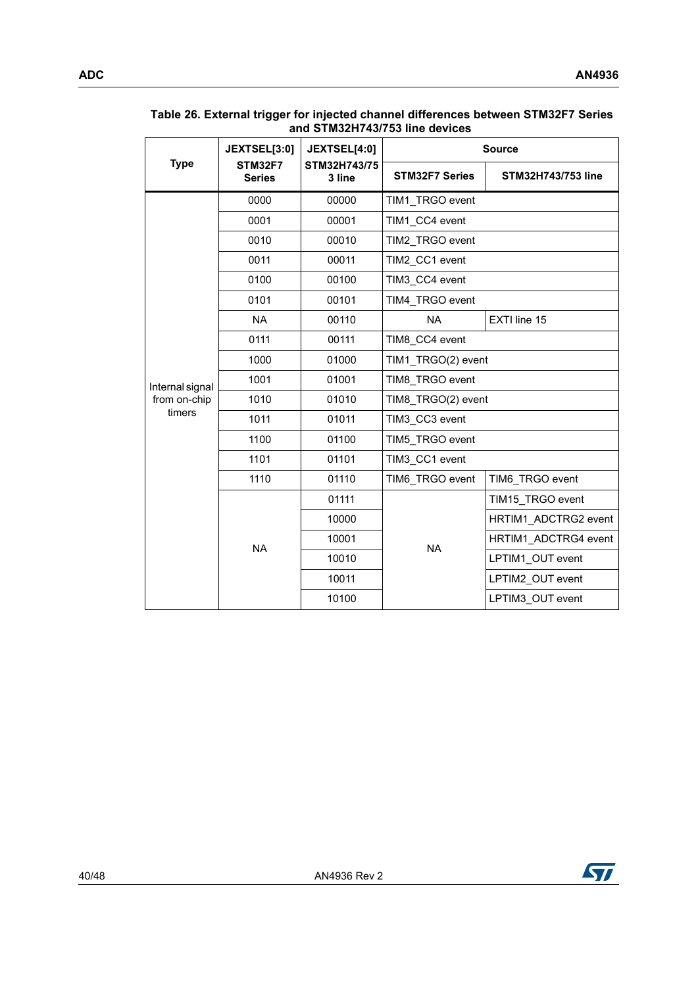| <b>Type</b>     | JEXTSEL[3:0]                    | JEXTSEL[4:0]           | <b>Source</b>                                               |                      |  |  |
|-----------------|---------------------------------|------------------------|-------------------------------------------------------------|----------------------|--|--|
|                 | <b>STM32F7</b><br><b>Series</b> | STM32H743/75<br>3 line | <b>STM32F7 Series</b>                                       | STM32H743/753 line   |  |  |
|                 | 0000                            | 00000                  | TIM1 TRGO event<br>TIM1 CC4 event<br>TIM2 TRGO event        |                      |  |  |
|                 | 0001                            | 00001                  |                                                             |                      |  |  |
|                 | 0010                            | 00010                  |                                                             |                      |  |  |
|                 | 0011                            | 00011                  | TIM2 CC1 event                                              |                      |  |  |
|                 | 0100                            | 00100                  | TIM3 CC4 event                                              |                      |  |  |
|                 | 0101                            | 00101                  | TIM4_TRGO event                                             |                      |  |  |
| <b>NA</b>       |                                 | 00110                  | <b>NA</b>                                                   | EXTI line 15         |  |  |
|                 | 0111                            | 00111                  | TIM8 CC4 event                                              |                      |  |  |
|                 | 1000                            | 01000                  | TIM1 TRGO(2) event<br>TIM8 TRGO event<br>TIM8 TRGO(2) event |                      |  |  |
| Internal signal | 1001                            | 01001                  |                                                             |                      |  |  |
| from on-chip    | 1010                            | 01010                  |                                                             |                      |  |  |
| timers          | 1011                            | 01011                  | TIM3 CC3 event                                              |                      |  |  |
|                 | 1100                            | 01100                  | TIM5 TRGO event                                             |                      |  |  |
|                 | 1101                            | 01101                  | TIM3 CC1 event                                              |                      |  |  |
|                 | 1110                            | 01110                  | TIM6_TRGO event                                             | TIM6 TRGO event      |  |  |
|                 |                                 | 01111                  |                                                             | TIM15_TRGO event     |  |  |
|                 |                                 | 10000                  |                                                             | HRTIM1 ADCTRG2 event |  |  |
|                 | <b>NA</b>                       | 10001                  | <b>NA</b>                                                   | HRTIM1 ADCTRG4 event |  |  |
|                 |                                 | 10010                  |                                                             | LPTIM1 OUT event     |  |  |
|                 |                                 | 10011                  |                                                             | LPTIM2 OUT event     |  |  |
|                 |                                 | 10100                  |                                                             | LPTIM3_OUT event     |  |  |

#### <span id="page-39-0"></span>**Table 26. External trigger for injected channel differences between STM32F7 Series and STM32H743/753 line devices**

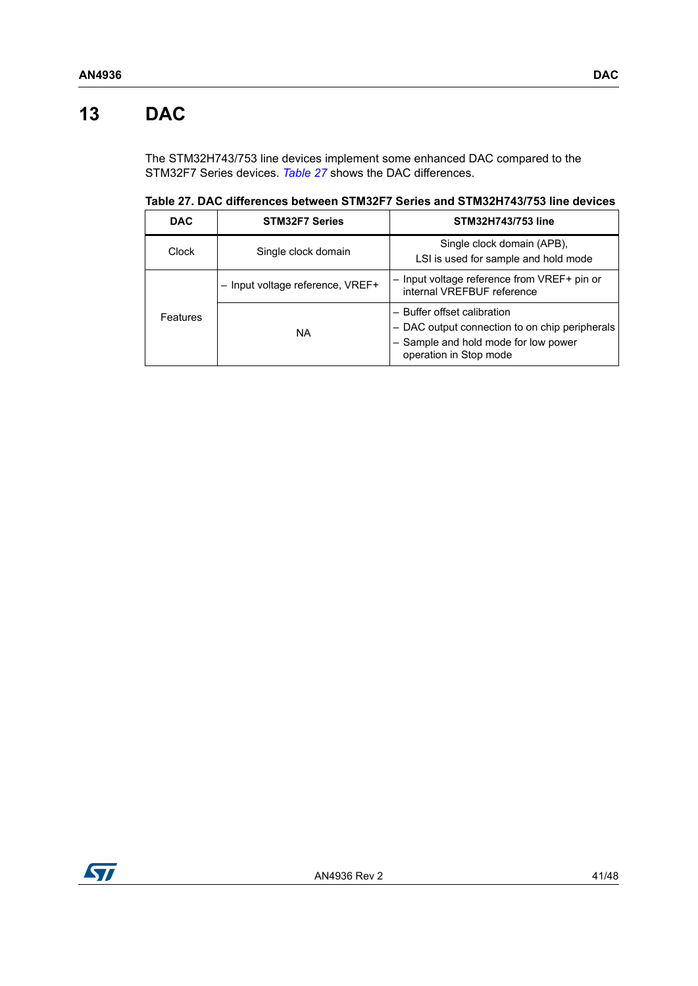# <span id="page-40-0"></span>**13 DAC**

The STM32H743/753 line devices implement some enhanced DAC compared to the STM32F7 Series devices. *[Table](#page-40-1) 27* shows the DAC differences.

<span id="page-40-1"></span>**Table 27. DAC differences between STM32F7 Series and STM32H743/753 line devices** 

| <b>DAC</b> | <b>STM32F7 Series</b>            | <b>STM32H743/753 line</b>                                                                                                                       |
|------------|----------------------------------|-------------------------------------------------------------------------------------------------------------------------------------------------|
| Clock      | Single clock domain              | Single clock domain (APB),<br>LSI is used for sample and hold mode                                                                              |
|            | - Input voltage reference, VREF+ | - Input voltage reference from VREF+ pin or<br>internal VREFBUF reference                                                                       |
| Features   | <b>NA</b>                        | - Buffer offset calibration<br>- DAC output connection to on chip peripherals<br>- Sample and hold mode for low power<br>operation in Stop mode |

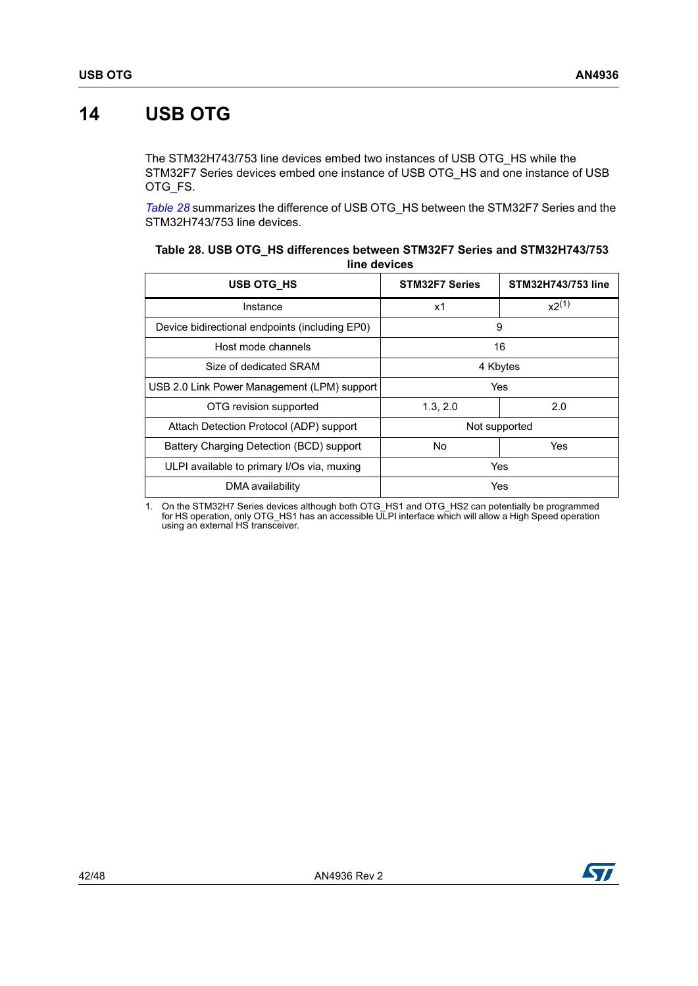# <span id="page-41-0"></span>**14 USB OTG**

The STM32H743/753 line devices embed two instances of USB OTG\_HS while the STM32F7 Series devices embed one instance of USB OTG\_HS and one instance of USB OTG\_FS.

*[Table](#page-41-1) 28* summarizes the difference of USB OTG\_HS between the STM32F7 Series and the STM32H743/753 line devices.

| USB OTG HS                                     | <b>STM32F7 Series</b> | STM32H743/753 line |
|------------------------------------------------|-----------------------|--------------------|
| Instance                                       | x1                    | $x2^{(1)}$         |
| Device bidirectional endpoints (including EP0) | 9                     |                    |
| Host mode channels                             |                       | 16                 |
| Size of dedicated SRAM                         | 4 Kbytes              |                    |
| USB 2.0 Link Power Management (LPM) support    | Yes                   |                    |
| OTG revision supported                         | 1.3, 2.0              | 2.0                |
| Attach Detection Protocol (ADP) support        | Not supported         |                    |
| Battery Charging Detection (BCD) support       | <b>No</b><br>Yes      |                    |
| ULPI available to primary I/Os via, muxing     | Yes                   |                    |
| DMA availability                               |                       | Yes                |

<span id="page-41-1"></span>

| Table 28. USB OTG HS differences between STM32F7 Series and STM32H743/753 |
|---------------------------------------------------------------------------|
| line devices                                                              |

1. On the STM32H7 Series devices although both OTG\_HS1 and OTG\_HS2 can potentially be programmed<br>for HS operation, only OTG\_HS1 has an accessible ULPI interface which will allow a High Speed operation<br>using an external HS

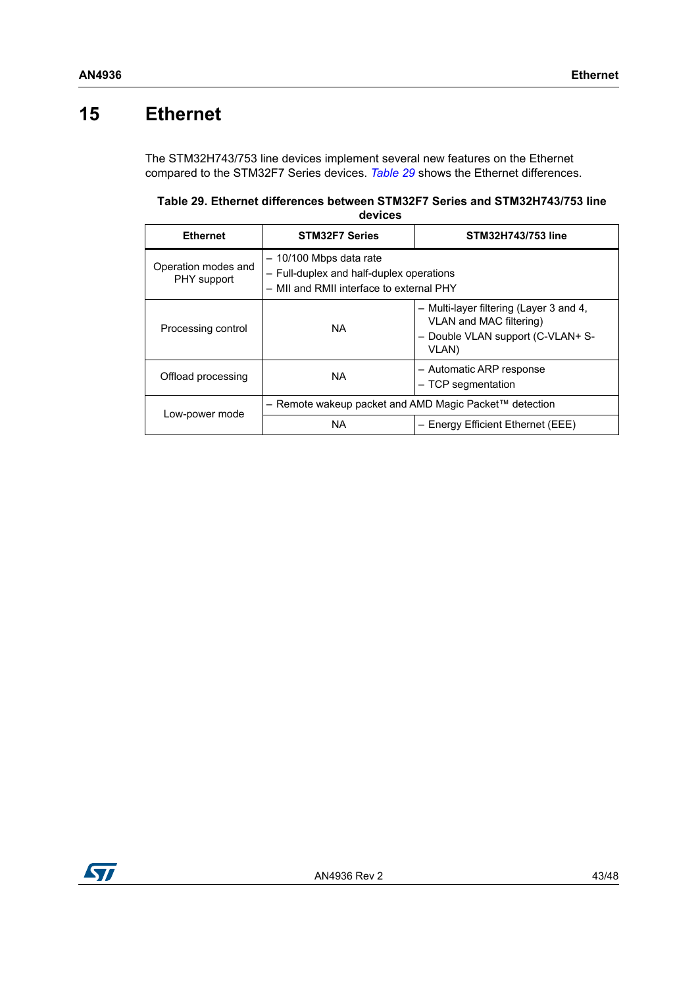## <span id="page-42-0"></span>**15 Ethernet**

The STM32H743/753 line devices implement several new features on the Ethernet compared to the STM32F7 Series devices. *[Table](#page-42-1) 29* shows the Ethernet differences.

<span id="page-42-1"></span>**Table 29. Ethernet differences between STM32F7 Series and STM32H743/753 line devices** 

| <b>Ethernet</b>                    | <b>STM32F7 Series</b>                                                                                           | STM32H743/753 line                                                                                               |  |  |
|------------------------------------|-----------------------------------------------------------------------------------------------------------------|------------------------------------------------------------------------------------------------------------------|--|--|
| Operation modes and<br>PHY support | - 10/100 Mbps data rate<br>- Full-duplex and half-duplex operations<br>- MII and RMII interface to external PHY |                                                                                                                  |  |  |
| Processing control                 | <b>NA</b>                                                                                                       | - Multi-layer filtering (Layer 3 and 4,<br>VLAN and MAC filtering)<br>- Double VLAN support (C-VLAN+ S-<br>VLAN) |  |  |
| Offload processing                 | NA.                                                                                                             | - Automatic ARP response<br>- TCP segmentation                                                                   |  |  |
| Low-power mode                     | $−$ Remote wakeup packet and AMD Magic Packet™ detection                                                        |                                                                                                                  |  |  |
|                                    | <b>NA</b>                                                                                                       | - Energy Efficient Ethernet (EEE)                                                                                |  |  |

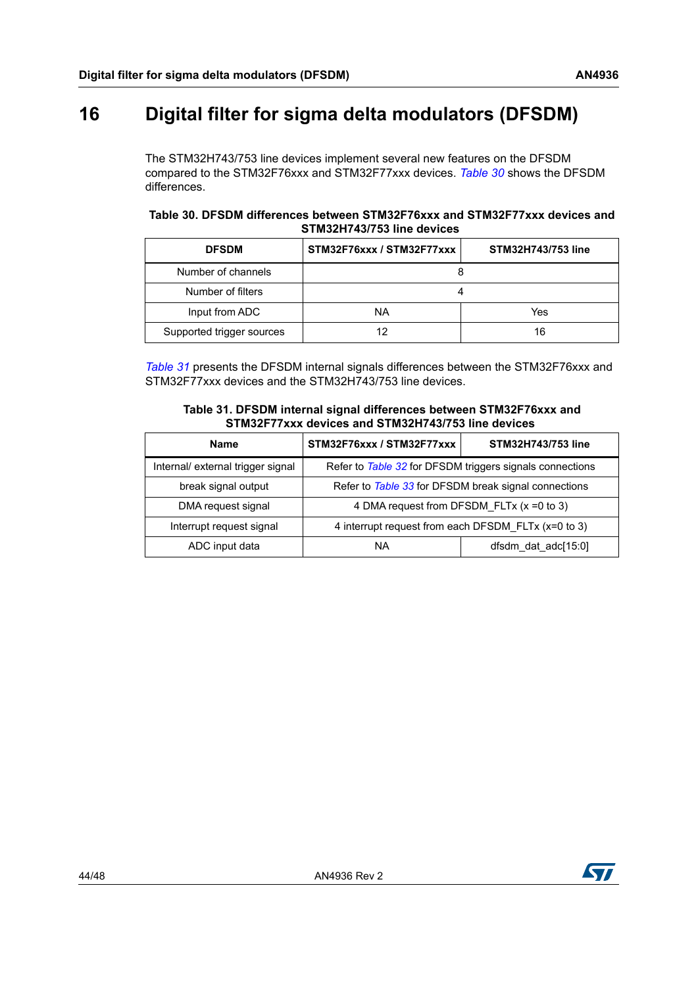# <span id="page-43-0"></span>**16 Digital filter for sigma delta modulators (DFSDM)**

The STM32H743/753 line devices implement several new features on the DFSDM compared to the STM32F76xxx and STM32F77xxx devices. *[Table](#page-43-1) 30* shows the DFSDM differences.

<span id="page-43-1"></span>

|  | Table 30. DFSDM differences between STM32F76xxx and STM32F77xxx devices and |                            |  |  |  |
|--|-----------------------------------------------------------------------------|----------------------------|--|--|--|
|  |                                                                             | STM32H743/753 line devices |  |  |  |

| <b>DFSDM</b>              | STM32F76xxx / STM32F77xxx | STM32H743/753 line |  |  |
|---------------------------|---------------------------|--------------------|--|--|
| Number of channels        |                           |                    |  |  |
| Number of filters         |                           |                    |  |  |
| Input from ADC            | ΝA                        | Yes                |  |  |
| Supported trigger sources | 19                        | 16                 |  |  |

*[Table](#page-43-2) 31* presents the DFSDM internal signals differences between the STM32F76xxx and STM32F77xxx devices and the STM32H743/753 line devices.

| Table 31. DFSDM internal signal differences between STM32F76xxx and |
|---------------------------------------------------------------------|
| STM32F77xxx devices and STM32H743/753 line devices                  |

<span id="page-43-2"></span>

| <b>Name</b>                       | STM32F76xxx / STM32F77xxx                                | STM32H743/753 line  |  |  |  |
|-----------------------------------|----------------------------------------------------------|---------------------|--|--|--|
| Internal/ external trigger signal | Refer to Table 32 for DFSDM triggers signals connections |                     |  |  |  |
| break signal output               | Refer to Table 33 for DFSDM break signal connections     |                     |  |  |  |
| DMA request signal                | 4 DMA request from DFSDM FLTx (x = 0 to 3)               |                     |  |  |  |
| Interrupt request signal          | 4 interrupt request from each DFSDM FLTx (x=0 to 3)      |                     |  |  |  |
| ADC input data                    | ΝA                                                       | dfsdm dat adc[15:0] |  |  |  |

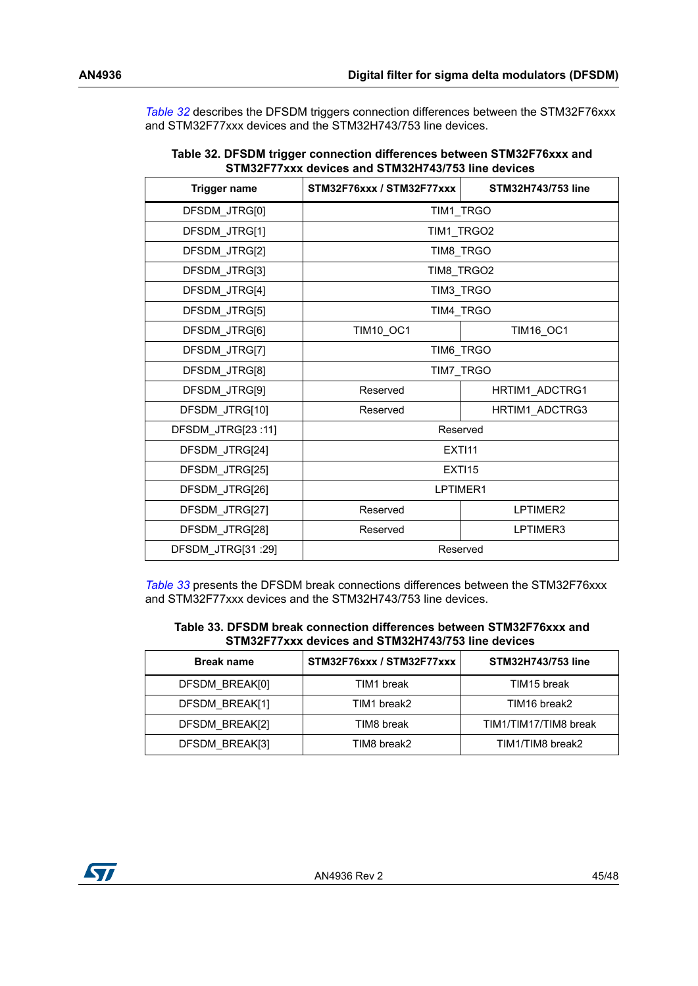*[Table](#page-44-0) 32* describes the DFSDM triggers connection differences between the STM32F76xxx and STM32F77xxx devices and the STM32H743/753 line devices.

<span id="page-44-0"></span>

| 31 MIJZE 7 7 XXX UEVICES ANU JI MIJZEN 437 733 MIHE UEVICES |                           |                    |  |  |  |
|-------------------------------------------------------------|---------------------------|--------------------|--|--|--|
| <b>Trigger name</b>                                         | STM32F76xxx / STM32F77xxx | STM32H743/753 line |  |  |  |
| DFSDM JTRG[0]                                               | TIM1 TRGO                 |                    |  |  |  |
| DFSDM JTRG[1]                                               | TIM1 TRGO2                |                    |  |  |  |
| DFSDM_JTRG[2]                                               | TIM8_TRGO                 |                    |  |  |  |
| DFSDM_JTRG[3]                                               | TIM8 TRGO2                |                    |  |  |  |
| DFSDM_JTRG[4]                                               | TIM3_TRGO                 |                    |  |  |  |
| DFSDM_JTRG[5]                                               | TIM4 TRGO                 |                    |  |  |  |
| DFSDM_JTRG[6]                                               | TIM10_OC1                 | TIM16_OC1          |  |  |  |
| DFSDM_JTRG[7]                                               | TIM6_TRGO                 |                    |  |  |  |
| DFSDM JTRG[8]                                               | TIM7 TRGO                 |                    |  |  |  |
| DFSDM JTRG[9]                                               | Reserved                  | HRTIM1 ADCTRG1     |  |  |  |
| DFSDM_JTRG[10]                                              | Reserved                  | HRTIM1 ADCTRG3     |  |  |  |
| DFSDM_JTRG[23:11]                                           | Reserved                  |                    |  |  |  |
| DFSDM_JTRG[24]                                              | <b>EXTI11</b>             |                    |  |  |  |
| DFSDM_JTRG[25]                                              | <b>EXTI15</b>             |                    |  |  |  |
| DFSDM_JTRG[26]                                              | LPTIMER1                  |                    |  |  |  |
| DFSDM_JTRG[27]                                              | Reserved                  | LPTIMER2           |  |  |  |
| DFSDM_JTRG[28]                                              | Reserved                  | LPTIMER3           |  |  |  |
| DFSDM_JTRG[31 :29]                                          | Reserved                  |                    |  |  |  |

| Table 32. DFSDM trigger connection differences between STM32F76xxx and |  |
|------------------------------------------------------------------------|--|
| STM32F77xxx devices and STM32H743/753 line devices                     |  |

*[Table](#page-44-1) 33* presents the DFSDM break connections differences between the STM32F76xxx and STM32F77xxx devices and the STM32H743/753 line devices.

<span id="page-44-1"></span>

| Table 33. DFSDM break connection differences between STM32F76xxx and |
|----------------------------------------------------------------------|
| STM32F77xxx devices and STM32H743/753 line devices                   |

| <b>Break name</b> | STM32F76xxx / STM32F77xxx | STM32H743/753 line    |
|-------------------|---------------------------|-----------------------|
| DFSDM BREAK[0]    | TIM1 break                | TIM15 break           |
| DFSDM BREAK[1]    | TIM1 break2               | TIM16 break2          |
| DFSDM BREAK[2]    | TIM8 break                | TIM1/TIM17/TIM8 break |
| DFSDM BREAK[3]    | TIM8 break2               | TIM1/TIM8 break2      |

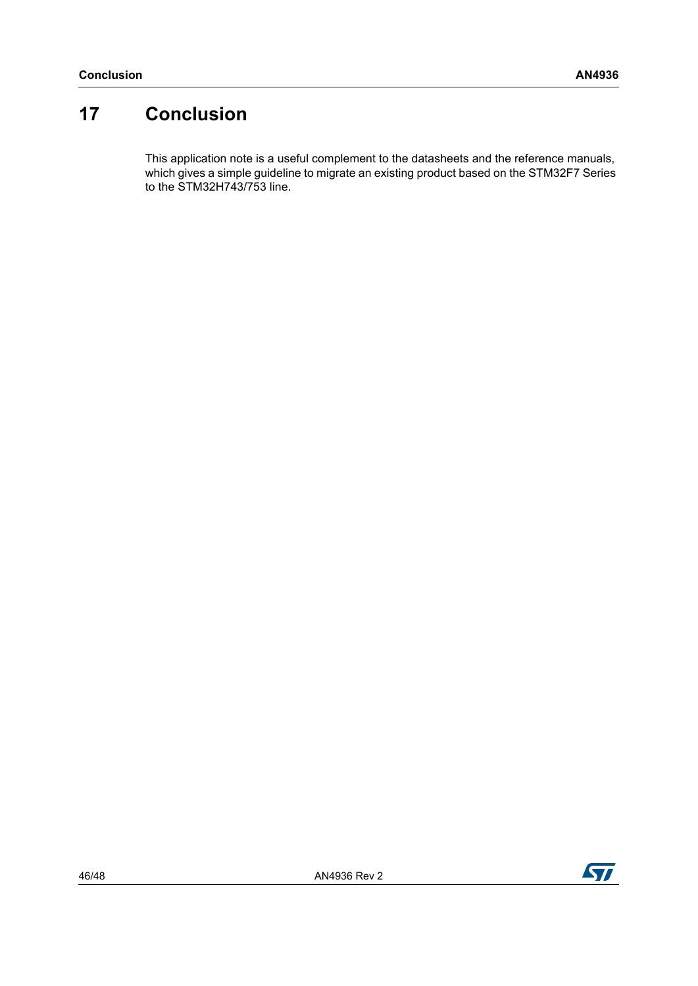# <span id="page-45-0"></span>**17 Conclusion**

This application note is a useful complement to the datasheets and the reference manuals, which gives a simple guideline to migrate an existing product based on the STM32F7 Series to the STM32H743/753 line.

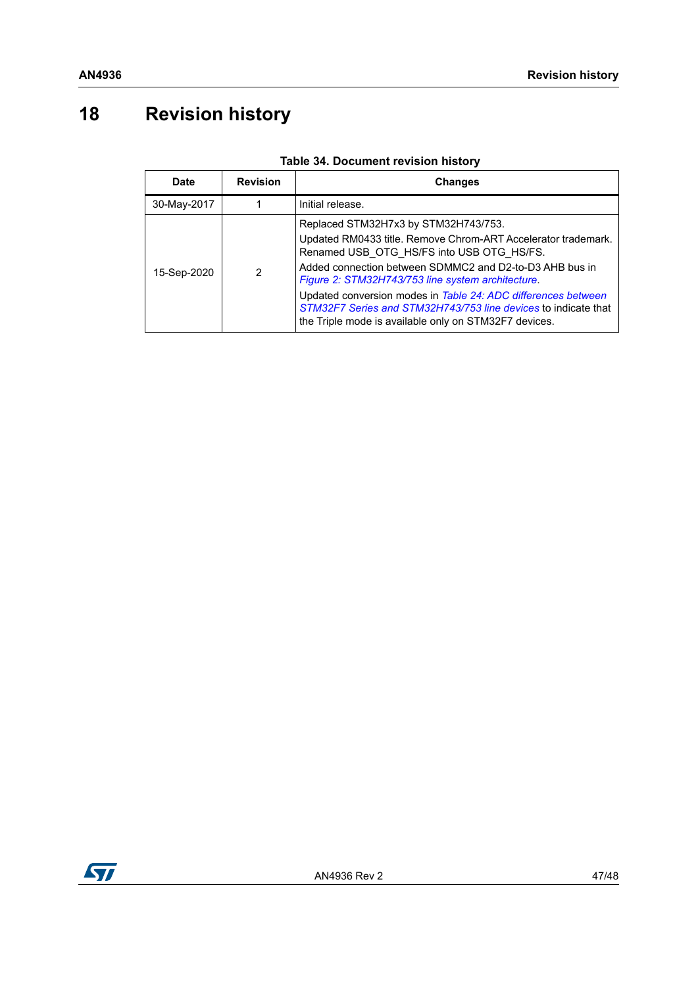# <span id="page-46-0"></span>**18 Revision history**

<span id="page-46-1"></span>

| Date        | <b>Revision</b> | <b>Changes</b>                                                                                                                                                                                                                                                                                                                                                                                                                                                 |
|-------------|-----------------|----------------------------------------------------------------------------------------------------------------------------------------------------------------------------------------------------------------------------------------------------------------------------------------------------------------------------------------------------------------------------------------------------------------------------------------------------------------|
| 30-May-2017 |                 | Initial release.                                                                                                                                                                                                                                                                                                                                                                                                                                               |
| 15-Sep-2020 | 2               | Replaced STM32H7x3 by STM32H743/753.<br>Updated RM0433 title. Remove Chrom-ART Accelerator trademark.<br>Renamed USB OTG HS/FS into USB OTG HS/FS.<br>Added connection between SDMMC2 and D2-to-D3 AHB bus in<br>Figure 2: STM32H743/753 line system architecture.<br>Updated conversion modes in Table 24: ADC differences between<br>STM32F7 Series and STM32H743/753 line devices to indicate that<br>the Triple mode is available only on STM32F7 devices. |

#### **Table 34. Document revision history**